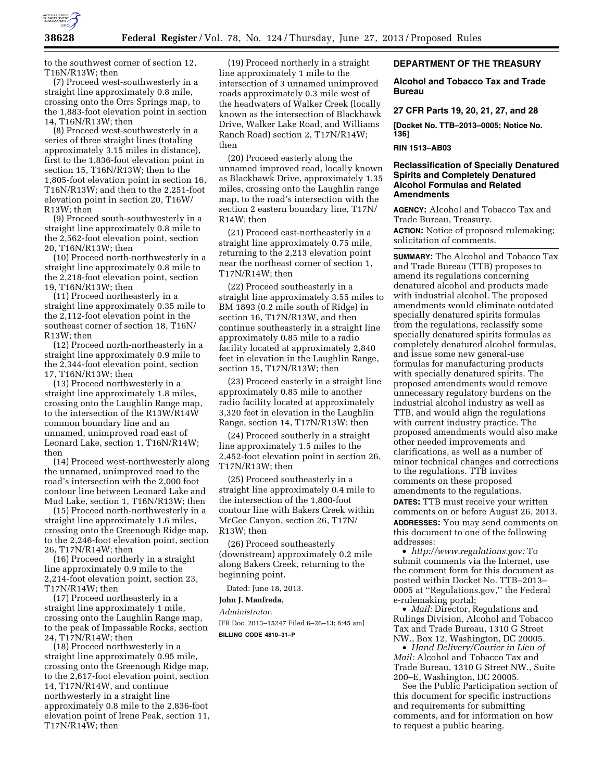

to the southwest corner of section 12, T16N/R13W; then

(7) Proceed west-southwesterly in a straight line approximately 0.8 mile, crossing onto the Orrs Springs map, to the 1,883-foot elevation point in section 14, T16N/R13W; then

(8) Proceed west-southwesterly in a series of three straight lines (totaling approximately 3.15 miles in distance), first to the 1,836-foot elevation point in section 15, T16N/R13W; then to the 1,805-foot elevation point in section 16, T16N/R13W; and then to the 2,251-foot elevation point in section 20, T16W/ R13W; then

(9) Proceed south-southwesterly in a straight line approximately 0.8 mile to the 2,562-foot elevation point, section 20, T16N/R13W; then

(10) Proceed north-northwesterly in a straight line approximately 0.8 mile to the 2,218-foot elevation point, section 19, T16N/R13W; then

(11) Proceed northeasterly in a straight line approximately 0.35 mile to the 2,112-foot elevation point in the southeast corner of section 18, T16N/ R13W; then

(12) Proceed north-northeasterly in a straight line approximately 0.9 mile to the 2,344-foot elevation point, section 17, T16N/R13W; then

(13) Proceed northwesterly in a straight line approximately 1.8 miles, crossing onto the Laughlin Range map, to the intersection of the R13W/R14W common boundary line and an unnamed, unimproved road east of Leonard Lake, section 1, T16N/R14W; then

(14) Proceed west-northwesterly along the unnamed, unimproved road to the road's intersection with the 2,000 foot contour line between Leonard Lake and Mud Lake, section 1, T16N/R13W; then

(15) Proceed north-northwesterly in a straight line approximately 1.6 miles, crossing onto the Greenough Ridge map, to the 2,246-foot elevation point, section 26, T17N/R14W; then

(16) Proceed northerly in a straight line approximately 0.9 mile to the 2,214-foot elevation point, section 23, T17N/R14W; then

(17) Proceed northeasterly in a straight line approximately 1 mile, crossing onto the Laughlin Range map, to the peak of Impassable Rocks, section 24, T17N/R14W; then

(18) Proceed northwesterly in a straight line approximately 0.95 mile, crossing onto the Greenough Ridge map, to the 2,617-foot elevation point, section 14, T17N/R14W, and continue northwesterly in a straight line approximately 0.8 mile to the 2,836-foot elevation point of Irene Peak, section 11, T17N/R14W; then

(19) Proceed northerly in a straight line approximately 1 mile to the intersection of 3 unnamed unimproved roads approximately 0.3 mile west of the headwaters of Walker Creek (locally known as the intersection of Blackhawk Drive, Walker Lake Road, and Williams Ranch Road) section 2, T17N/R14W; then

(20) Proceed easterly along the unnamed improved road, locally known as Blackhawk Drive, approximately 1.35 miles, crossing onto the Laughlin range map, to the road's intersection with the section 2 eastern boundary line, T17N/ R14W; then

(21) Proceed east-northeasterly in a straight line approximately 0.75 mile, returning to the 2,213 elevation point near the northeast corner of section 1, T17N/R14W; then

(22) Proceed southeasterly in a straight line approximately 3.55 miles to BM 1893 (0.2 mile south of Ridge) in section 16, T17N/R13W, and then continue southeasterly in a straight line approximately 0.85 mile to a radio facility located at approximately 2,840 feet in elevation in the Laughlin Range, section 15, T17N/R13W; then

(23) Proceed easterly in a straight line approximately 0.85 mile to another radio facility located at approximately 3,320 feet in elevation in the Laughlin Range, section 14, T17N/R13W; then

(24) Proceed southerly in a straight line approximately 1.5 miles to the 2,452-foot elevation point in section 26, T17N/R13W; then

(25) Proceed southeasterly in a straight line approximately 0.4 mile to the intersection of the 1,800-foot contour line with Bakers Creek within McGee Canyon, section 26, T17N/ R13W; then

(26) Proceed southeasterly (downstream) approximately 0.2 mile along Bakers Creek, returning to the beginning point.

Dated: June 18, 2013.

# **John J. Manfreda,**

*Administrator.* 

[FR Doc. 2013–15247 Filed 6–26–13; 8:45 am] **BILLING CODE 4810–31–P** 

## **DEPARTMENT OF THE TREASURY**

**Alcohol and Tobacco Tax and Trade Bureau** 

**27 CFR Parts 19, 20, 21, 27, and 28** 

**[Docket No. TTB–2013–0005; Notice No. 136]** 

### **RIN 1513–AB03**

## **Reclassification of Specially Denatured Spirits and Completely Denatured Alcohol Formulas and Related Amendments**

**AGENCY:** Alcohol and Tobacco Tax and Trade Bureau, Treasury.

**ACTION:** Notice of proposed rulemaking; solicitation of comments.

**SUMMARY:** The Alcohol and Tobacco Tax and Trade Bureau (TTB) proposes to amend its regulations concerning denatured alcohol and products made with industrial alcohol. The proposed amendments would eliminate outdated specially denatured spirits formulas from the regulations, reclassify some specially denatured spirits formulas as completely denatured alcohol formulas, and issue some new general-use formulas for manufacturing products with specially denatured spirits. The proposed amendments would remove unnecessary regulatory burdens on the industrial alcohol industry as well as TTB, and would align the regulations with current industry practice. The proposed amendments would also make other needed improvements and clarifications, as well as a number of minor technical changes and corrections to the regulations. TTB invites comments on these proposed amendments to the regulations. **DATES:** TTB must receive your written comments on or before August 26, 2013. **ADDRESSES:** You may send comments on this document to one of the following addresses:

• *[http://www.regulations.gov:](http://www.regulations.gov)* To submit comments via the Internet, use the comment form for this document as posted within Docket No. TTB–2013– 0005 at ''Regulations.gov,'' the Federal e-rulemaking portal;

• *Mail:* Director, Regulations and Rulings Division, Alcohol and Tobacco Tax and Trade Bureau, 1310 G Street NW., Box 12, Washington, DC 20005.

• *Hand Delivery/Courier in Lieu of Mail:* Alcohol and Tobacco Tax and Trade Bureau, 1310 G Street NW., Suite 200–E, Washington, DC 20005.

See the Public Participation section of this document for specific instructions and requirements for submitting comments, and for information on how to request a public hearing.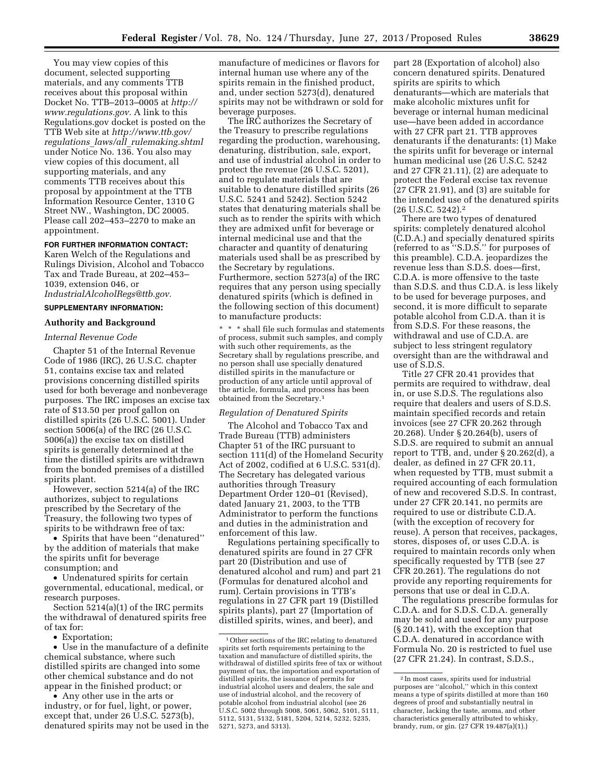You may view copies of this document, selected supporting materials, and any comments TTB receives about this proposal within Docket No. TTB–2013–0005 at *[http://](http://www.regulations.gov)  [www.regulations.gov.](http://www.regulations.gov)* A link to this Regulations.gov docket is posted on the TTB Web site at *[http://www.ttb.gov/](http://www.ttb.gov/regulations_laws/all_rulemaking.shtml) regulations*\_*laws/all*\_*[rulemaking.shtml](http://www.ttb.gov/regulations_laws/all_rulemaking.shtml)*  under Notice No. 136. You also may view copies of this document, all supporting materials, and any comments TTB receives about this proposal by appointment at the TTB Information Resource Center, 1310 G Street NW., Washington, DC 20005. Please call 202–453–2270 to make an appointment.

#### **FOR FURTHER INFORMATION CONTACT:**

Karen Welch of the Regulations and Rulings Division, Alcohol and Tobacco Tax and Trade Bureau, at 202–453– 1039, extension 046, or *[IndustrialAlcoholRegs@ttb.gov.](mailto:IndustrialAlcoholRegs@ttb.gov)* 

**SUPPLEMENTARY INFORMATION:** 

# **Authority and Background**

# *Internal Revenue Code*

Chapter 51 of the Internal Revenue Code of 1986 (IRC), 26 U.S.C. chapter 51, contains excise tax and related provisions concerning distilled spirits used for both beverage and nonbeverage purposes. The IRC imposes an excise tax rate of \$13.50 per proof gallon on distilled spirits (26 U.S.C. 5001). Under section 5006(a) of the IRC (26 U.S.C. 5006(a)) the excise tax on distilled spirits is generally determined at the time the distilled spirits are withdrawn from the bonded premises of a distilled spirits plant.

However, section 5214(a) of the IRC authorizes, subject to regulations prescribed by the Secretary of the Treasury, the following two types of spirits to be withdrawn free of tax:

• Spirits that have been ''denatured'' by the addition of materials that make the spirits unfit for beverage consumption; and

• Undenatured spirits for certain governmental, educational, medical, or research purposes.

Section 5214(a)(1) of the IRC permits the withdrawal of denatured spirits free of tax for:

• Exportation;

• Use in the manufacture of a definite chemical substance, where such distilled spirits are changed into some other chemical substance and do not appear in the finished product; or

• Any other use in the arts or industry, or for fuel, light, or power, except that, under 26 U.S.C. 5273(b), denatured spirits may not be used in the

manufacture of medicines or flavors for internal human use where any of the spirits remain in the finished product, and, under section 5273(d), denatured spirits may not be withdrawn or sold for beverage purposes.

The IRC authorizes the Secretary of the Treasury to prescribe regulations regarding the production, warehousing, denaturing, distribution, sale, export, and use of industrial alcohol in order to protect the revenue (26 U.S.C. 5201), and to regulate materials that are suitable to denature distilled spirits (26 U.S.C. 5241 and 5242). Section 5242 states that denaturing materials shall be such as to render the spirits with which they are admixed unfit for beverage or internal medicinal use and that the character and quantity of denaturing materials used shall be as prescribed by the Secretary by regulations. Furthermore, section 5273(a) of the IRC requires that any person using specially denatured spirits (which is defined in the following section of this document) to manufacture products:

 $^{\star}$   $^{\star}$   $^{\star}$  shall file such formulas and statements of process, submit such samples, and comply with such other requirements, as the Secretary shall by regulations prescribe, and no person shall use specially denatured distilled spirits in the manufacture or production of any article until approval of the article, formula, and process has been obtained from the Secretary.1

#### *Regulation of Denatured Spirits*

The Alcohol and Tobacco Tax and Trade Bureau (TTB) administers Chapter 51 of the IRC pursuant to section 111(d) of the Homeland Security Act of 2002, codified at 6 U.S.C. 531(d). The Secretary has delegated various authorities through Treasury Department Order 120–01 (Revised), dated January 21, 2003, to the TTB Administrator to perform the functions and duties in the administration and enforcement of this law.

Regulations pertaining specifically to denatured spirits are found in 27 CFR part 20 (Distribution and use of denatured alcohol and rum) and part 21 (Formulas for denatured alcohol and rum). Certain provisions in TTB's regulations in 27 CFR part 19 (Distilled spirits plants), part 27 (Importation of distilled spirits, wines, and beer), and

part 28 (Exportation of alcohol) also concern denatured spirits. Denatured spirits are spirits to which denaturants—which are materials that make alcoholic mixtures unfit for beverage or internal human medicinal use—have been added in accordance with 27 CFR part 21. TTB approves denaturants if the denaturants: (1) Make the spirits unfit for beverage or internal human medicinal use (26 U.S.C. 5242 and 27 CFR 21.11), (2) are adequate to protect the Federal excise tax revenue (27 CFR 21.91), and (3) are suitable for the intended use of the denatured spirits (26 U.S.C. 5242).2

There are two types of denatured spirits: completely denatured alcohol (C.D.A.) and specially denatured spirits (referred to as ''S.D.S.'' for purposes of this preamble). C.D.A. jeopardizes the revenue less than S.D.S. does—first, C.D.A. is more offensive to the taste than S.D.S. and thus C.D.A. is less likely to be used for beverage purposes, and second, it is more difficult to separate potable alcohol from C.D.A. than it is from S.D.S. For these reasons, the withdrawal and use of C.D.A. are subject to less stringent regulatory oversight than are the withdrawal and use of S.D.S.

Title 27 CFR 20.41 provides that permits are required to withdraw, deal in, or use S.D.S. The regulations also require that dealers and users of S.D.S. maintain specified records and retain invoices (see 27 CFR 20.262 through 20.268). Under § 20.264(b), users of S.D.S. are required to submit an annual report to TTB, and, under § 20.262(d), a dealer, as defined in 27 CFR 20.11, when requested by TTB, must submit a required accounting of each formulation of new and recovered S.D.S. In contrast, under 27 CFR 20.141, no permits are required to use or distribute C.D.A. (with the exception of recovery for reuse). A person that receives, packages, stores, disposes of, or uses C.D.A. is required to maintain records only when specifically requested by TTB (see 27 CFR 20.261). The regulations do not provide any reporting requirements for persons that use or deal in C.D.A.

The regulations prescribe formulas for C.D.A. and for S.D.S. C.D.A. generally may be sold and used for any purpose (§ 20.141), with the exception that C.D.A. denatured in accordance with Formula No. 20 is restricted to fuel use (27 CFR 21.24). In contrast, S.D.S.,

<sup>1</sup>Other sections of the IRC relating to denatured spirits set forth requirements pertaining to the taxation and manufacture of distilled spirits, the withdrawal of distilled spirits free of tax or without payment of tax, the importation and exportation of distilled spirits, the issuance of permits for industrial alcohol users and dealers, the sale and use of industrial alcohol, and the recovery of potable alcohol from industrial alcohol (see 26 U.S.C. 5002 through 5008, 5061, 5062, 5101, 5111, 5112, 5131, 5132, 5181, 5204, 5214, 5232, 5235, 5271, 5273, and 5313).

 $^{\rm 2}$  In most cases, spirits used for industrial purposes are ''alcohol,'' which in this context means a type of spirits distilled at more than 160 degrees of proof and substantially neutral in character, lacking the taste, aroma, and other characteristics generally attributed to whisky, brandy, rum, or gin. (27 CFR 19.487(a)(1).)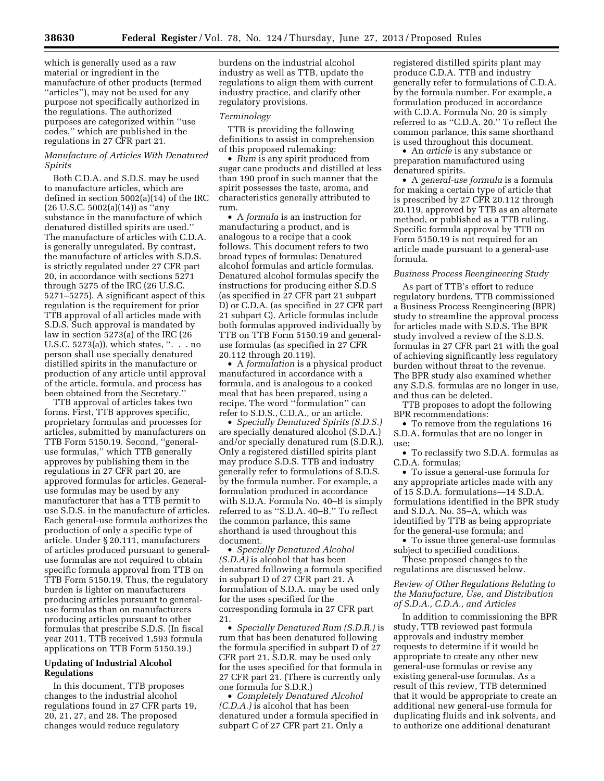which is generally used as a raw material or ingredient in the manufacture of other products (termed ''articles''), may not be used for any purpose not specifically authorized in the regulations. The authorized purposes are categorized within ''use codes,'' which are published in the regulations in 27 CFR part 21.

# *Manufacture of Articles With Denatured Spirits*

Both C.D.A. and S.D.S. may be used to manufacture articles, which are defined in section 5002(a)(14) of the IRC  $(26 \text{ U.S.C. } 5002(a)(14))$  as "any substance in the manufacture of which denatured distilled spirits are used.'' The manufacture of articles with C.D.A. is generally unregulated. By contrast, the manufacture of articles with S.D.S. is strictly regulated under 27 CFR part 20, in accordance with sections 5271 through 5275 of the IRC (26 U.S.C. 5271–5275). A significant aspect of this regulation is the requirement for prior TTB approval of all articles made with S.D.S. Such approval is mandated by law in section 5273(a) of the IRC (26 U.S.C. 5273(a)), which states, ''. . . no person shall use specially denatured distilled spirits in the manufacture or production of any article until approval of the article, formula, and process has been obtained from the Secretary.''

TTB approval of articles takes two forms. First, TTB approves specific, proprietary formulas and processes for articles, submitted by manufacturers on TTB Form 5150.19. Second, ''generaluse formulas,'' which TTB generally approves by publishing them in the regulations in 27 CFR part 20, are approved formulas for articles. Generaluse formulas may be used by any manufacturer that has a TTB permit to use S.D.S. in the manufacture of articles. Each general-use formula authorizes the production of only a specific type of article. Under § 20.111, manufacturers of articles produced pursuant to generaluse formulas are not required to obtain specific formula approval from TTB on TTB Form 5150.19. Thus, the regulatory burden is lighter on manufacturers producing articles pursuant to generaluse formulas than on manufacturers producing articles pursuant to other formulas that prescribe S.D.S. (In fiscal year 2011, TTB received 1,593 formula applications on TTB Form 5150.19.)

# **Updating of Industrial Alcohol Regulations**

In this document, TTB proposes changes to the industrial alcohol regulations found in 27 CFR parts 19, 20, 21, 27, and 28. The proposed changes would reduce regulatory

burdens on the industrial alcohol industry as well as TTB, update the regulations to align them with current industry practice, and clarify other regulatory provisions.

# *Terminology*

TTB is providing the following definitions to assist in comprehension of this proposed rulemaking:

• *Rum* is any spirit produced from sugar cane products and distilled at less than 190 proof in such manner that the spirit possesses the taste, aroma, and characteristics generally attributed to rum.

• A *formula* is an instruction for manufacturing a product, and is analogous to a recipe that a cook follows. This document refers to two broad types of formulas: Denatured alcohol formulas and article formulas. Denatured alcohol formulas specify the instructions for producing either S.D.S (as specified in 27 CFR part 21 subpart D) or C.D.A. (as specified in 27 CFR part 21 subpart C). Article formulas include both formulas approved individually by TTB on TTB Form 5150.19 and generaluse formulas (as specified in 27 CFR 20.112 through 20.119).

• A *formulation* is a physical product manufactured in accordance with a formula, and is analogous to a cooked meal that has been prepared, using a recipe. The word ''formulation'' can refer to S.D.S., C.D.A., or an article.

• *Specially Denatured Spirits (S.D.S.)*  are specially denatured alcohol (S.D.A.) and/or specially denatured rum (S.D.R.). Only a registered distilled spirits plant may produce S.D.S. TTB and industry generally refer to formulations of S.D.S. by the formula number. For example, a formulation produced in accordance with S.D.A. Formula No. 40–B is simply referred to as ''S.D.A. 40–B.'' To reflect the common parlance, this same shorthand is used throughout this document.

• *Specially Denatured Alcohol (S.D.A)* is alcohol that has been denatured following a formula specified in subpart D of 27 CFR part 21. A formulation of S.D.A. may be used only for the uses specified for the corresponding formula in 27 CFR part 21.

• *Specially Denatured Rum (S.D.R.)* is rum that has been denatured following the formula specified in subpart D of 27 CFR part 21. S.D.R. may be used only for the uses specified for that formula in 27 CFR part 21. (There is currently only one formula for S.D.R.)

• *Completely Denatured Alcohol (C.D.A.)* is alcohol that has been denatured under a formula specified in subpart C of 27 CFR part 21. Only a

registered distilled spirits plant may produce C.D.A. TTB and industry generally refer to formulations of C.D.A. by the formula number. For example, a formulation produced in accordance with C.D.A. Formula No. 20 is simply referred to as ''C.D.A. 20.'' To reflect the common parlance, this same shorthand is used throughout this document.

• An *article* is any substance or preparation manufactured using denatured spirits.

• A *general-use formula* is a formula for making a certain type of article that is prescribed by 27 CFR 20.112 through 20.119, approved by TTB as an alternate method, or published as a TTB ruling. Specific formula approval by TTB on Form 5150.19 is not required for an article made pursuant to a general-use formula.

## *Business Process Reengineering Study*

As part of TTB's effort to reduce regulatory burdens, TTB commissioned a Business Process Reengineering (BPR) study to streamline the approval process for articles made with S.D.S. The BPR study involved a review of the S.D.S. formulas in 27 CFR part 21 with the goal of achieving significantly less regulatory burden without threat to the revenue. The BPR study also examined whether any S.D.S. formulas are no longer in use, and thus can be deleted.

TTB proposes to adopt the following BPR recommendations:

• To remove from the regulations 16 S.D.A. formulas that are no longer in use;

• To reclassify two S.D.A. formulas as C.D.A. formulas;

• To issue a general-use formula for any appropriate articles made with any of 15 S.D.A. formulations—14 S.D.A. formulations identified in the BPR study and S.D.A. No. 35–A, which was identified by TTB as being appropriate for the general-use formula; and

• To issue three general-use formulas subject to specified conditions.

These proposed changes to the regulations are discussed below.

*Review of Other Regulations Relating to the Manufacture, Use, and Distribution of S.D.A., C.D.A., and Articles* 

In addition to commissioning the BPR study, TTB reviewed past formula approvals and industry member requests to determine if it would be appropriate to create any other new general-use formulas or revise any existing general-use formulas. As a result of this review, TTB determined that it would be appropriate to create an additional new general-use formula for duplicating fluids and ink solvents, and to authorize one additional denaturant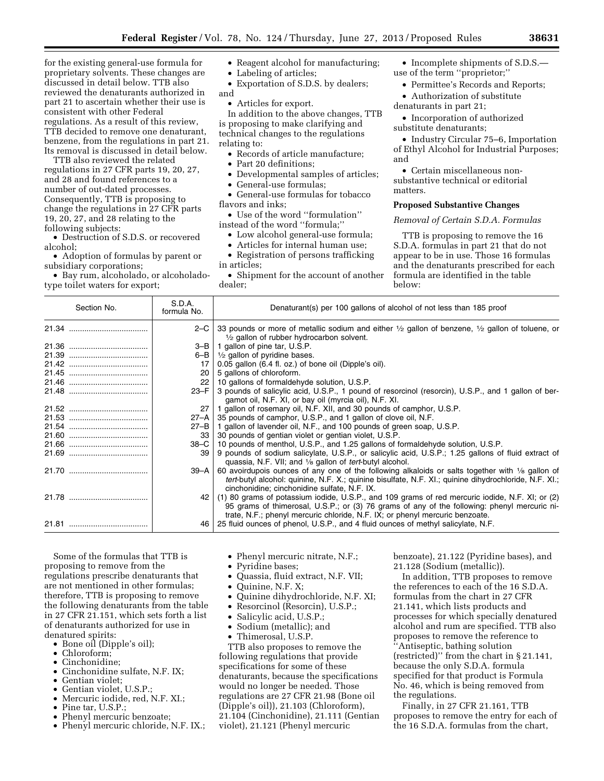for the existing general-use formula for proprietary solvents. These changes are discussed in detail below. TTB also reviewed the denaturants authorized in part 21 to ascertain whether their use is consistent with other Federal regulations. As a result of this review, TTB decided to remove one denaturant, benzene, from the regulations in part 21. Its removal is discussed in detail below.

TTB also reviewed the related regulations in 27 CFR parts 19, 20, 27, and 28 and found references to a number of out-dated processes. Consequently, TTB is proposing to change the regulations in 27 CFR parts 19, 20, 27, and 28 relating to the following subjects:

• Destruction of S.D.S. or recovered alcohol;

• Adoption of formulas by parent or subsidiary corporations;

• Bay rum, alcoholado, or alcoholadotype toilet waters for export;

- Reagent alcohol for manufacturing;
- Labeling of articles;
- Exportation of S.D.S. by dealers; and
	- Articles for export.

In addition to the above changes, TTB

is proposing to make clarifying and technical changes to the regulations relating to:

- Records of article manufacture;
- Part 20 definitions;
- Developmental samples of articles;
- General-use formulas;

• General-use formulas for tobacco flavors and inks;

• Use of the word ''formulation'' instead of the word ''formula;''

- Low alcohol general-use formula;
- Articles for internal human use;

• Registration of persons trafficking in articles;

• Shipment for the account of another dealer;

- Incomplete shipments of S.D.S. use of the term ''proprietor;''
	- Permittee's Records and Reports;
- Authorization of substitute denaturants in part 21;
- Incorporation of authorized substitute denaturants;

• Industry Circular 75–6, Importation of Ethyl Alcohol for Industrial Purposes; and

• Certain miscellaneous nonsubstantive technical or editorial matters.

## **Proposed Substantive Changes**

### *Removal of Certain S.D.A. Formulas*

TTB is proposing to remove the 16 S.D.A. formulas in part 21 that do not appear to be in use. Those 16 formulas and the denaturants prescribed for each formula are identified in the table below:

| Section No. | S.D.A.<br>formula No. | Denaturant(s) per 100 gallons of alcohol of not less than 185 proof                                                                                                                                                                                                             |  |
|-------------|-----------------------|---------------------------------------------------------------------------------------------------------------------------------------------------------------------------------------------------------------------------------------------------------------------------------|--|
|             |                       | 2–C   33 pounds or more of metallic sodium and either $\frac{1}{2}$ gallon of benzene, $\frac{1}{2}$ gallon of toluene, or<br>$\frac{1}{2}$ gallon of rubber hydrocarbon solvent.                                                                                               |  |
|             |                       | $3-B$   1 gallon of pine tar, U.S.P.                                                                                                                                                                                                                                            |  |
|             |                       | 6–B $\mid \frac{1}{2}$ gallon of pyridine bases.                                                                                                                                                                                                                                |  |
|             | 17                    | 0.05 gallon (6.4 fl. oz.) of bone oil (Dipple's oil).                                                                                                                                                                                                                           |  |
|             | 20 <sub>1</sub>       | 5 gallons of chloroform.                                                                                                                                                                                                                                                        |  |
|             |                       | 22   10 gallons of formaldehyde solution, U.S.P.                                                                                                                                                                                                                                |  |
|             | 23–F                  | 3 pounds of salicylic acid, U.S.P., 1 pound of resorcinol (resorcin), U.S.P., and 1 gallon of ber-<br>gamot oil, N.F. XI, or bay oil (myrcia oil), N.F. XI.                                                                                                                     |  |
|             | 27                    | 1 gallon of rosemary oil, N.F. XII, and 30 pounds of camphor, U.S.P.                                                                                                                                                                                                            |  |
|             | $27 - A$              | 35 pounds of camphor, U.S.P., and 1 gallon of clove oil, N.F.                                                                                                                                                                                                                   |  |
|             |                       | $27 - B$   1 gallon of lavender oil, N.F., and 100 pounds of green soap, U.S.P.                                                                                                                                                                                                 |  |
|             | 33                    | 30 pounds of gentian violet or gentian violet, U.S.P.                                                                                                                                                                                                                           |  |
|             |                       | 38–C   10 pounds of menthol, U.S.P., and 1.25 gallons of formaldehyde solution, U.S.P.                                                                                                                                                                                          |  |
|             | 39                    | 9 pounds of sodium salicylate, U.S.P., or salicylic acid, U.S.P.; 1.25 gallons of fluid extract of<br>quassia, N.F. VII; and 1/8 gallon of <i>tert</i> -butyl alcohol.                                                                                                          |  |
|             | $39 - A$              | 60 avoirdupois ounces of any one of the following alkaloids or salts together with $\frac{1}{8}$ gallon of<br><i>tert</i> -butyl alcohol: quinine, N.F. X.; quinine bisulfate, N.F. XI.; quinine dihydrochloride, N.F. XI.;<br>cinchonidine; cinchonidine sulfate, N.F. IX.     |  |
|             | 42                    | (1) 80 grams of potassium iodide, U.S.P., and 109 grams of red mercuric iodide, N.F. XI; or (2)<br>95 grams of thimerosal, U.S.P.; or (3) 76 grams of any of the following: phenyl mercuric ni-<br>trate, N.F.; phenyl mercuric chloride, N.F. IX; or phenyl mercuric benzoate. |  |
|             |                       | 46   25 fluid ounces of phenol, U.S.P., and 4 fluid ounces of methyl salicylate, N.F.                                                                                                                                                                                           |  |

Some of the formulas that TTB is proposing to remove from the regulations prescribe denaturants that are not mentioned in other formulas; therefore, TTB is proposing to remove the following denaturants from the table in 27 CFR 21.151, which sets forth a list of denaturants authorized for use in denatured spirits:

- Bone oil (Dipple's oil);
- Chloroform;
- Cinchonidine;
- Cinchonidine sulfate, N.F. IX;
- Gentian violet;
- Gentian violet, U.S.P.;
- Mercuric iodide, red, N.F. XI.;
- Pine tar, U.S.P.;
- Phenyl mercuric benzoate;
- Phenyl mercuric chloride, N.F. IX.;
- Phenyl mercuric nitrate, N.F.;
- Pyridine bases;
- Quassia, fluid extract, N.F. VII;
- Quinine, N.F. X;
- Quinine dihydrochloride, N.F. XI;
- Resorcinol (Resorcin), U.S.P.;
- Salicylic acid, U.S.P.;
- Sodium (metallic); and
- Thimerosal, U.S.P.

TTB also proposes to remove the following regulations that provide specifications for some of these denaturants, because the specifications would no longer be needed. Those regulations are 27 CFR 21.98 (Bone oil (Dipple's oil)), 21.103 (Chloroform), 21.104 (Cinchonidine), 21.111 (Gentian violet), 21.121 (Phenyl mercuric

benzoate), 21.122 (Pyridine bases), and 21.128 (Sodium (metallic)).

In addition, TTB proposes to remove the references to each of the 16 S.D.A. formulas from the chart in 27 CFR 21.141, which lists products and processes for which specially denatured alcohol and rum are specified. TTB also proposes to remove the reference to ''Antiseptic, bathing solution (restricted)'' from the chart in § 21.141, because the only S.D.A. formula specified for that product is Formula No. 46, which is being removed from the regulations.

Finally, in 27 CFR 21.161, TTB proposes to remove the entry for each of the 16 S.D.A. formulas from the chart,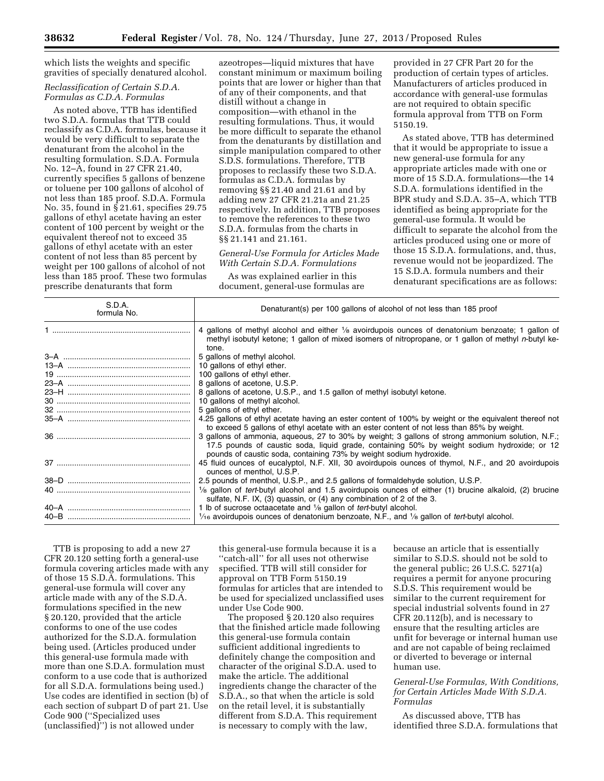which lists the weights and specific gravities of specially denatured alcohol.

### *Reclassification of Certain S.D.A. Formulas as C.D.A. Formulas*

As noted above, TTB has identified two S.D.A. formulas that TTB could reclassify as C.D.A. formulas, because it would be very difficult to separate the denaturant from the alcohol in the resulting formulation. S.D.A. Formula No. 12–A, found in 27 CFR 21.40, currently specifies 5 gallons of benzene or toluene per 100 gallons of alcohol of not less than 185 proof. S.D.A. Formula No. 35, found in § 21.61, specifies 29.75 gallons of ethyl acetate having an ester content of 100 percent by weight or the equivalent thereof not to exceed 35 gallons of ethyl acetate with an ester content of not less than 85 percent by weight per 100 gallons of alcohol of not less than 185 proof. These two formulas prescribe denaturants that form

azeotropes—liquid mixtures that have constant minimum or maximum boiling points that are lower or higher than that of any of their components, and that distill without a change in composition—with ethanol in the resulting formulations. Thus, it would be more difficult to separate the ethanol from the denaturants by distillation and simple manipulation compared to other S.D.S. formulations. Therefore, TTB proposes to reclassify these two S.D.A. formulas as C.D.A. formulas by removing §§ 21.40 and 21.61 and by adding new 27 CFR 21.21a and 21.25 respectively. In addition, TTB proposes to remove the references to these two S.D.A. formulas from the charts in §§ 21.141 and 21.161.

*General-Use Formula for Articles Made With Certain S.D.A. Formulations* 

As was explained earlier in this document, general-use formulas are

provided in 27 CFR Part 20 for the production of certain types of articles. Manufacturers of articles produced in accordance with general-use formulas are not required to obtain specific formula approval from TTB on Form 5150.19.

As stated above, TTB has determined that it would be appropriate to issue a new general-use formula for any appropriate articles made with one or more of 15 S.D.A. formulations—the 14 S.D.A. formulations identified in the BPR study and S.D.A. 35–A, which TTB identified as being appropriate for the general-use formula. It would be difficult to separate the alcohol from the articles produced using one or more of those 15 S.D.A. formulations, and, thus, revenue would not be jeopardized. The 15 S.D.A. formula numbers and their denaturant specifications are as follows:

| S.D.A.<br>formula No. | Denaturant(s) per 100 gallons of alcohol of not less than 185 proof                                                                                                                                                                                                   |  |  |
|-----------------------|-----------------------------------------------------------------------------------------------------------------------------------------------------------------------------------------------------------------------------------------------------------------------|--|--|
|                       | 4 gallons of methyl alcohol and either 1/8 avoirdupois ounces of denatonium benzoate; 1 gallon of<br>methyl isobutyl ketone; 1 gallon of mixed isomers of nitropropane, or 1 gallon of methyl n-butyl ke-<br>tone.                                                    |  |  |
|                       | 5 gallons of methyl alcohol.                                                                                                                                                                                                                                          |  |  |
|                       | 10 gallons of ethyl ether.                                                                                                                                                                                                                                            |  |  |
|                       | 100 gallons of ethyl ether.                                                                                                                                                                                                                                           |  |  |
|                       | 8 gallons of acetone, U.S.P.                                                                                                                                                                                                                                          |  |  |
|                       | 8 gallons of acetone, U.S.P., and 1.5 gallon of methyl isobutyl ketone.                                                                                                                                                                                               |  |  |
|                       | 10 gallons of methyl alcohol.                                                                                                                                                                                                                                         |  |  |
|                       | 5 gallons of ethyl ether.                                                                                                                                                                                                                                             |  |  |
|                       | 4.25 gallons of ethyl acetate having an ester content of 100% by weight or the equivalent thereof not<br>to exceed 5 gallons of ethyl acetate with an ester content of not less than 85% by weight.                                                                   |  |  |
|                       | 3 gallons of ammonia, aqueous, 27 to 30% by weight; 3 gallons of strong ammonium solution, N.F.;<br>17.5 pounds of caustic soda, liquid grade, containing 50% by weight sodium hydroxide; or 12<br>pounds of caustic soda, containing 73% by weight sodium hydroxide. |  |  |
|                       | 45 fluid ounces of eucalyptol, N.F. XII, 30 avoirdupois ounces of thymol, N.F., and 20 avoirdupois<br>ounces of menthol, U.S.P.                                                                                                                                       |  |  |
|                       | 2.5 pounds of menthol, U.S.P., and 2.5 gallons of formaldehyde solution, U.S.P.                                                                                                                                                                                       |  |  |
|                       | $\frac{1}{8}$ gallon of <i>tert</i> -butyl alcohol and 1.5 avoirdupois ounces of either (1) brucine alkaloid, (2) brucine<br>sulfate, N.F. IX, (3) quassin, or (4) any combination of 2 of the 3.                                                                     |  |  |
|                       | 1 lb of sucrose octaacetate and $\frac{1}{8}$ gallon of <i>tert</i> -butyl alcohol.                                                                                                                                                                                   |  |  |
|                       | $1/16$ avoirdupois ounces of denatonium benzoate, N.F., and $1/8$ gallon of tert-butyl alcohol.                                                                                                                                                                       |  |  |

TTB is proposing to add a new 27 CFR 20.120 setting forth a general-use formula covering articles made with any of those 15 S.D.A. formulations. This general-use formula will cover any article made with any of the S.D.A. formulations specified in the new § 20.120, provided that the article conforms to one of the use codes authorized for the S.D.A. formulation being used. (Articles produced under this general-use formula made with more than one S.D.A. formulation must conform to a use code that is authorized for all S.D.A. formulations being used.) Use codes are identified in section (b) of each section of subpart D of part 21. Use Code 900 (''Specialized uses (unclassified)'') is not allowed under

this general-use formula because it is a ''catch-all'' for all uses not otherwise specified. TTB will still consider for approval on TTB Form 5150.19 formulas for articles that are intended to be used for specialized unclassified uses under Use Code 900.

The proposed § 20.120 also requires that the finished article made following this general-use formula contain sufficient additional ingredients to definitely change the composition and character of the original S.D.A. used to make the article. The additional ingredients change the character of the S.D.A., so that when the article is sold on the retail level, it is substantially different from S.D.A. This requirement is necessary to comply with the law,

because an article that is essentially similar to S.D.S. should not be sold to the general public; 26 U.S.C. 5271(a) requires a permit for anyone procuring S.D.S. This requirement would be similar to the current requirement for special industrial solvents found in 27 CFR 20.112(b), and is necessary to ensure that the resulting articles are unfit for beverage or internal human use and are not capable of being reclaimed or diverted to beverage or internal human use.

# *General-Use Formulas, With Conditions, for Certain Articles Made With S.D.A. Formulas*

As discussed above, TTB has identified three S.D.A. formulations that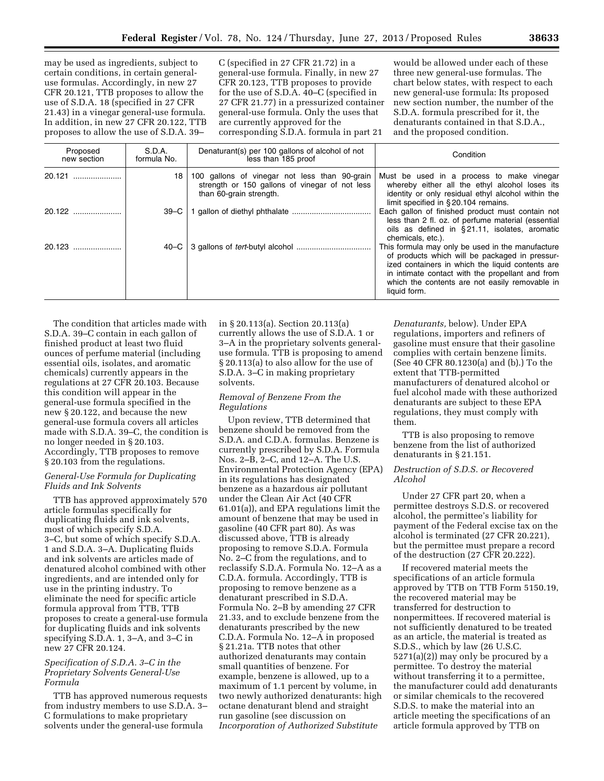may be used as ingredients, subject to certain conditions, in certain generaluse formulas. Accordingly, in new 27 CFR 20.121, TTB proposes to allow the use of S.D.A. 18 (specified in 27 CFR 21.43) in a vinegar general-use formula. In addition, in new 27 CFR 20.122, TTB proposes to allow the use of S.D.A. 39–

C (specified in 27 CFR 21.72) in a general-use formula. Finally, in new 27 CFR 20.123, TTB proposes to provide for the use of S.D.A. 40–C (specified in 27 CFR 21.77) in a pressurized container general-use formula. Only the uses that are currently approved for the corresponding S.D.A. formula in part 21

would be allowed under each of these three new general-use formulas. The chart below states, with respect to each new general-use formula: Its proposed new section number, the number of the S.D.A. formula prescribed for it, the denaturants contained in that S.D.A., and the proposed condition.

| Proposed<br>new section | S.D.A.<br>formula No. | Denaturant(s) per 100 gallons of alcohol of not<br>less than 185 proof                                                     | Condition                                                                                                                                                                                                                                                                    |
|-------------------------|-----------------------|----------------------------------------------------------------------------------------------------------------------------|------------------------------------------------------------------------------------------------------------------------------------------------------------------------------------------------------------------------------------------------------------------------------|
| 20.121                  | 18                    | 100 gallons of vinegar not less than 90-grain<br>strength or 150 gallons of vinegar of not less<br>than 60-grain strength. | Must be used in a process to make vinegar<br>whereby either all the ethyl alcohol loses its<br>identity or only residual ethyl alcohol within the<br>limit specified in §20.104 remains.                                                                                     |
| $20.122$                | $39-C$                |                                                                                                                            | Each gallon of finished product must contain not<br>less than 2 fl. oz. of perfume material (essential<br>oils as defined in §21.11, isolates, aromatic<br>chemicals, etc.).                                                                                                 |
| 20.123                  | 40–C                  |                                                                                                                            | This formula may only be used in the manufacture<br>of products which will be packaged in pressur-<br>ized containers in which the liquid contents are<br>in intimate contact with the propellant and from<br>which the contents are not easily removable in<br>liquid form. |

The condition that articles made with S.D.A. 39–C contain in each gallon of finished product at least two fluid ounces of perfume material (including essential oils, isolates, and aromatic chemicals) currently appears in the regulations at 27 CFR 20.103. Because this condition will appear in the general-use formula specified in the new § 20.122, and because the new general-use formula covers all articles made with S.D.A. 39–C, the condition is no longer needed in § 20.103. Accordingly, TTB proposes to remove § 20.103 from the regulations.

## *General-Use Formula for Duplicating Fluids and Ink Solvents*

TTB has approved approximately 570 article formulas specifically for duplicating fluids and ink solvents, most of which specify S.D.A. 3–C, but some of which specify S.D.A. 1 and S.D.A. 3–A. Duplicating fluids and ink solvents are articles made of denatured alcohol combined with other ingredients, and are intended only for use in the printing industry. To eliminate the need for specific article formula approval from TTB, TTB proposes to create a general-use formula for duplicating fluids and ink solvents specifying S.D.A. 1, 3–A, and 3–C in new 27 CFR 20.124.

# *Specification of S.D.A. 3–C in the Proprietary Solvents General-Use Formula*

TTB has approved numerous requests from industry members to use S.D.A. 3– C formulations to make proprietary solvents under the general-use formula

in § 20.113(a). Section 20.113(a) currently allows the use of S.D.A. 1 or 3–A in the proprietary solvents generaluse formula. TTB is proposing to amend § 20.113(a) to also allow for the use of S.D.A. 3–C in making proprietary solvents.

## *Removal of Benzene From the Regulations*

Upon review, TTB determined that benzene should be removed from the S.D.A. and C.D.A. formulas. Benzene is currently prescribed by S.D.A. Formula Nos. 2–B, 2–C, and 12–A. The U.S. Environmental Protection Agency (EPA) in its regulations has designated benzene as a hazardous air pollutant under the Clean Air Act (40 CFR 61.01(a)), and EPA regulations limit the amount of benzene that may be used in gasoline (40 CFR part 80). As was discussed above, TTB is already proposing to remove S.D.A. Formula No. 2–C from the regulations, and to reclassify S.D.A. Formula No. 12–A as a C.D.A. formula. Accordingly, TTB is proposing to remove benzene as a denaturant prescribed in S.D.A. Formula No. 2–B by amending 27 CFR 21.33, and to exclude benzene from the denaturants prescribed by the new C.D.A. Formula No. 12–A in proposed § 21.21a. TTB notes that other authorized denaturants may contain small quantities of benzene. For example, benzene is allowed, up to a maximum of 1.1 percent by volume, in two newly authorized denaturants: high octane denaturant blend and straight run gasoline (see discussion on *Incorporation of Authorized Substitute* 

*Denaturants,* below). Under EPA regulations, importers and refiners of gasoline must ensure that their gasoline complies with certain benzene limits. (See 40 CFR 80.1230(a) and (b).) To the extent that TTB-permitted manufacturers of denatured alcohol or fuel alcohol made with these authorized denaturants are subject to these EPA regulations, they must comply with them.

TTB is also proposing to remove benzene from the list of authorized denaturants in § 21.151.

## *Destruction of S.D.S. or Recovered Alcohol*

Under 27 CFR part 20, when a permittee destroys S.D.S. or recovered alcohol, the permittee's liability for payment of the Federal excise tax on the alcohol is terminated (27 CFR 20.221), but the permittee must prepare a record of the destruction (27 CFR 20.222).

If recovered material meets the specifications of an article formula approved by TTB on TTB Form 5150.19, the recovered material may be transferred for destruction to nonpermittees. If recovered material is not sufficiently denatured to be treated as an article, the material is treated as S.D.S., which by law (26 U.S.C. 5271(a)(2)) may only be procured by a permittee. To destroy the material without transferring it to a permittee, the manufacturer could add denaturants or similar chemicals to the recovered S.D.S. to make the material into an article meeting the specifications of an article formula approved by TTB on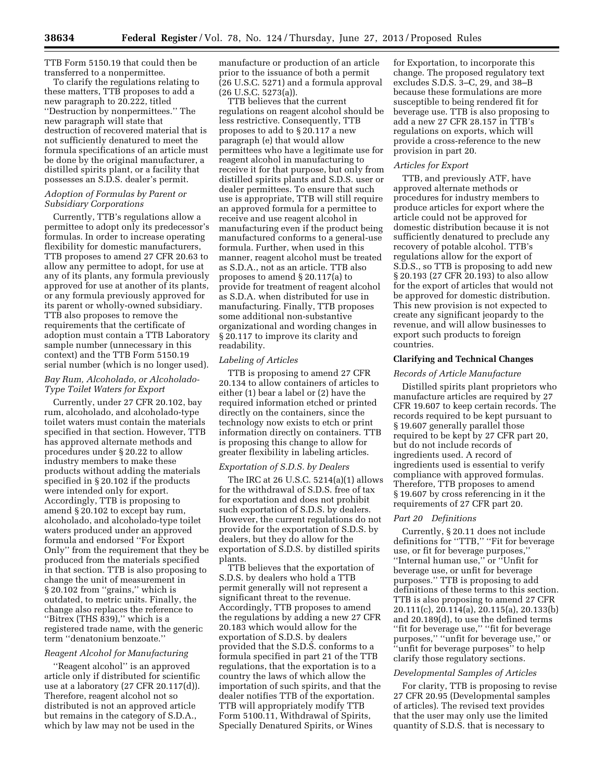TTB Form 5150.19 that could then be transferred to a nonpermittee.

To clarify the regulations relating to these matters, TTB proposes to add a new paragraph to 20.222, titled ''Destruction by nonpermittees.'' The new paragraph will state that destruction of recovered material that is not sufficiently denatured to meet the formula specifications of an article must be done by the original manufacturer, a distilled spirits plant, or a facility that possesses an S.D.S. dealer's permit.

## *Adoption of Formulas by Parent or Subsidiary Corporations*

Currently, TTB's regulations allow a permittee to adopt only its predecessor's formulas. In order to increase operating flexibility for domestic manufacturers, TTB proposes to amend 27 CFR 20.63 to allow any permittee to adopt, for use at any of its plants, any formula previously approved for use at another of its plants, or any formula previously approved for its parent or wholly-owned subsidiary. TTB also proposes to remove the requirements that the certificate of adoption must contain a TTB Laboratory sample number (unnecessary in this context) and the TTB Form 5150.19 serial number (which is no longer used).

# *Bay Rum, Alcoholado, or Alcoholado-Type Toilet Waters for Export*

Currently, under 27 CFR 20.102, bay rum, alcoholado, and alcoholado-type toilet waters must contain the materials specified in that section. However, TTB has approved alternate methods and procedures under § 20.22 to allow industry members to make these products without adding the materials specified in § 20.102 if the products were intended only for export. Accordingly, TTB is proposing to amend § 20.102 to except bay rum, alcoholado, and alcoholado-type toilet waters produced under an approved formula and endorsed ''For Export Only'' from the requirement that they be produced from the materials specified in that section. TTB is also proposing to change the unit of measurement in § 20.102 from "grains," which is outdated, to metric units. Finally, the change also replaces the reference to ''Bitrex (THS 839),'' which is a registered trade name, with the generic term ''denatonium benzoate.''

# *Reagent Alcohol for Manufacturing*

''Reagent alcohol'' is an approved article only if distributed for scientific use at a laboratory (27 CFR 20.117(d)). Therefore, reagent alcohol not so distributed is not an approved article but remains in the category of S.D.A., which by law may not be used in the

manufacture or production of an article prior to the issuance of both a permit (26 U.S.C. 5271) and a formula approval (26 U.S.C. 5273(a)).

TTB believes that the current regulations on reagent alcohol should be less restrictive. Consequently, TTB proposes to add to § 20.117 a new paragraph (e) that would allow permittees who have a legitimate use for reagent alcohol in manufacturing to receive it for that purpose, but only from distilled spirits plants and S.D.S. user or dealer permittees. To ensure that such use is appropriate, TTB will still require an approved formula for a permittee to receive and use reagent alcohol in manufacturing even if the product being manufactured conforms to a general-use formula. Further, when used in this manner, reagent alcohol must be treated as S.D.A., not as an article. TTB also proposes to amend § 20.117(a) to provide for treatment of reagent alcohol as S.D.A. when distributed for use in manufacturing. Finally, TTB proposes some additional non-substantive organizational and wording changes in § 20.117 to improve its clarity and readability.

## *Labeling of Articles*

TTB is proposing to amend 27 CFR 20.134 to allow containers of articles to either (1) bear a label or (2) have the required information etched or printed directly on the containers, since the technology now exists to etch or print information directly on containers. TTB is proposing this change to allow for greater flexibility in labeling articles.

# *Exportation of S.D.S. by Dealers*

The IRC at 26 U.S.C. 5214(a)(1) allows for the withdrawal of S.D.S. free of tax for exportation and does not prohibit such exportation of S.D.S. by dealers. However, the current regulations do not provide for the exportation of S.D.S. by dealers, but they do allow for the exportation of S.D.S. by distilled spirits plants.

TTB believes that the exportation of S.D.S. by dealers who hold a TTB permit generally will not represent a significant threat to the revenue. Accordingly, TTB proposes to amend the regulations by adding a new 27 CFR 20.183 which would allow for the exportation of S.D.S. by dealers provided that the S.D.S. conforms to a formula specified in part 21 of the TTB regulations, that the exportation is to a country the laws of which allow the importation of such spirits, and that the dealer notifies TTB of the exportation. TTB will appropriately modify TTB Form 5100.11, Withdrawal of Spirits, Specially Denatured Spirits, or Wines

for Exportation, to incorporate this change. The proposed regulatory text excludes S.D.S. 3–C, 29, and 38–B because these formulations are more susceptible to being rendered fit for beverage use. TTB is also proposing to add a new 27 CFR 28.157 in TTB's regulations on exports, which will provide a cross-reference to the new provision in part 20.

### *Articles for Export*

TTB, and previously ATF, have approved alternate methods or procedures for industry members to produce articles for export where the article could not be approved for domestic distribution because it is not sufficiently denatured to preclude any recovery of potable alcohol. TTB's regulations allow for the export of S.D.S., so TTB is proposing to add new § 20.193 (27 CFR 20.193) to also allow for the export of articles that would not be approved for domestic distribution. This new provision is not expected to create any significant jeopardy to the revenue, and will allow businesses to export such products to foreign countries.

## **Clarifying and Technical Changes**

### *Records of Article Manufacture*

Distilled spirits plant proprietors who manufacture articles are required by 27 CFR 19.607 to keep certain records. The records required to be kept pursuant to § 19.607 generally parallel those required to be kept by 27 CFR part 20, but do not include records of ingredients used. A record of ingredients used is essential to verify compliance with approved formulas. Therefore, TTB proposes to amend § 19.607 by cross referencing in it the requirements of 27 CFR part 20.

### *Part 20 Definitions*

Currently, § 20.11 does not include definitions for ''TTB,'' ''Fit for beverage use, or fit for beverage purposes,'' ''Internal human use,'' or ''Unfit for beverage use, or unfit for beverage purposes.'' TTB is proposing to add definitions of these terms to this section. TTB is also proposing to amend 27 CFR 20.111(c), 20.114(a), 20.115(a), 20.133(b) and 20.189(d), to use the defined terms "fit for beverage use," "fit for beverage purposes,'' ''unfit for beverage use,'' or ''unfit for beverage purposes'' to help clarify those regulatory sections.

## *Developmental Samples of Articles*

For clarity, TTB is proposing to revise 27 CFR 20.95 (Developmental samples of articles). The revised text provides that the user may only use the limited quantity of S.D.S. that is necessary to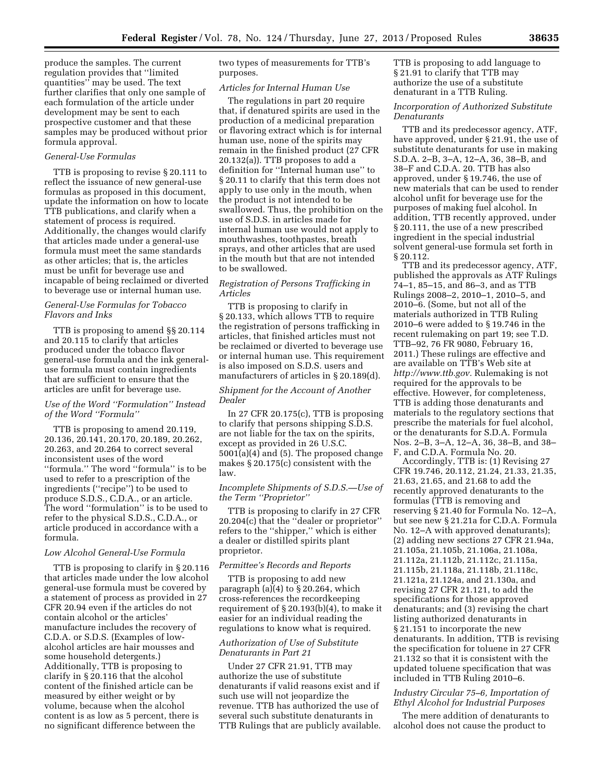produce the samples. The current regulation provides that ''limited quantities'' may be used. The text further clarifies that only one sample of each formulation of the article under development may be sent to each prospective customer and that these samples may be produced without prior formula approval.

## *General-Use Formulas*

TTB is proposing to revise § 20.111 to reflect the issuance of new general-use formulas as proposed in this document, update the information on how to locate TTB publications, and clarify when a statement of process is required. Additionally, the changes would clarify that articles made under a general-use formula must meet the same standards as other articles; that is, the articles must be unfit for beverage use and incapable of being reclaimed or diverted to beverage use or internal human use.

### *General-Use Formulas for Tobacco Flavors and Inks*

TTB is proposing to amend §§ 20.114 and 20.115 to clarify that articles produced under the tobacco flavor general-use formula and the ink generaluse formula must contain ingredients that are sufficient to ensure that the articles are unfit for beverage use.

## *Use of the Word ''Formulation'' Instead of the Word ''Formula''*

TTB is proposing to amend 20.119, 20.136, 20.141, 20.170, 20.189, 20.262, 20.263, and 20.264 to correct several inconsistent uses of the word ''formula.'' The word ''formula'' is to be used to refer to a prescription of the ingredients (''recipe'') to be used to produce S.D.S., C.D.A., or an article. The word ''formulation'' is to be used to refer to the physical S.D.S., C.D.A., or article produced in accordance with a formula.

## *Low Alcohol General-Use Formula*

TTB is proposing to clarify in § 20.116 that articles made under the low alcohol general-use formula must be covered by a statement of process as provided in 27 CFR 20.94 even if the articles do not contain alcohol or the articles' manufacture includes the recovery of C.D.A. or S.D.S. (Examples of lowalcohol articles are hair mousses and some household detergents.) Additionally, TTB is proposing to clarify in § 20.116 that the alcohol content of the finished article can be measured by either weight or by volume, because when the alcohol content is as low as 5 percent, there is no significant difference between the

two types of measurements for TTB's purposes.

## *Articles for Internal Human Use*

The regulations in part 20 require that, if denatured spirits are used in the production of a medicinal preparation or flavoring extract which is for internal human use, none of the spirits may remain in the finished product (27 CFR 20.132(a)). TTB proposes to add a definition for ''Internal human use'' to § 20.11 to clarify that this term does not apply to use only in the mouth, when the product is not intended to be swallowed. Thus, the prohibition on the use of S.D.S. in articles made for internal human use would not apply to mouthwashes, toothpastes, breath sprays, and other articles that are used in the mouth but that are not intended to be swallowed.

# *Registration of Persons Trafficking in Articles*

TTB is proposing to clarify in § 20.133, which allows TTB to require the registration of persons trafficking in articles, that finished articles must not be reclaimed or diverted to beverage use or internal human use. This requirement is also imposed on S.D.S. users and manufacturers of articles in § 20.189(d).

# *Shipment for the Account of Another Dealer*

In 27 CFR 20.175 $(c)$ , TTB is proposing to clarify that persons shipping S.D.S. are not liable for the tax on the spirits, except as provided in 26 U.S.C. 5001(a)(4) and (5). The proposed change makes § 20.175(c) consistent with the law.

## *Incomplete Shipments of S.D.S.—Use of the Term ''Proprietor''*

TTB is proposing to clarify in 27 CFR 20.204(c) that the ''dealer or proprietor'' refers to the ''shipper,'' which is either a dealer or distilled spirits plant proprietor.

#### *Permittee's Records and Reports*

TTB is proposing to add new paragraph (a)(4) to § 20.264, which cross-references the recordkeeping requirement of § 20.193(b)(4), to make it easier for an individual reading the regulations to know what is required.

# *Authorization of Use of Substitute Denaturants in Part 21*

Under 27 CFR 21.91, TTB may authorize the use of substitute denaturants if valid reasons exist and if such use will not jeopardize the revenue. TTB has authorized the use of several such substitute denaturants in TTB Rulings that are publicly available.

# TTB is proposing to add language to § 21.91 to clarify that TTB may authorize the use of a substitute denaturant in a TTB Ruling.

# *Incorporation of Authorized Substitute Denaturants*

TTB and its predecessor agency, ATF, have approved, under § 21.91, the use of substitute denaturants for use in making S.D.A. 2–B, 3–A, 12–A, 36, 38–B, and 38–F and C.D.A. 20. TTB has also approved, under § 19.746, the use of new materials that can be used to render alcohol unfit for beverage use for the purposes of making fuel alcohol. In addition, TTB recently approved, under § 20.111, the use of a new prescribed ingredient in the special industrial solvent general-use formula set forth in § 20.112.

TTB and its predecessor agency, ATF, published the approvals as ATF Rulings 74–1, 85–15, and 86–3, and as TTB Rulings 2008–2, 2010–1, 2010–5, and 2010–6. (Some, but not all of the materials authorized in TTB Ruling 2010–6 were added to § 19.746 in the recent rulemaking on part 19; see T.D. TTB–92, 76 FR 9080, February 16, 2011.) These rulings are effective and are available on TTB's Web site at *[http://www.ttb.gov.](http://www.ttb.gov)* Rulemaking is not required for the approvals to be effective. However, for completeness, TTB is adding those denaturants and materials to the regulatory sections that prescribe the materials for fuel alcohol, or the denaturants for S.D.A. Formula Nos. 2–B, 3–A, 12–A, 36, 38–B, and 38– F, and C.D.A. Formula No. 20.

Accordingly, TTB is: (1) Revising 27 CFR 19.746, 20.112, 21.24, 21.33, 21.35, 21.63, 21.65, and 21.68 to add the recently approved denaturants to the formulas (TTB is removing and reserving § 21.40 for Formula No. 12–A, but see new § 21.21a for C.D.A. Formula No. 12–A with approved denaturants); (2) adding new sections 27 CFR 21.94a, 21.105a, 21.105b, 21.106a, 21.108a, 21.112a, 21.112b, 21.112c, 21.115a, 21.115b, 21.118a, 21.118b, 21.118c, 21.121a, 21.124a, and 21.130a, and revising 27 CFR 21.121, to add the specifications for those approved denaturants; and (3) revising the chart listing authorized denaturants in § 21.151 to incorporate the new denaturants. In addition, TTB is revising the specification for toluene in 27 CFR 21.132 so that it is consistent with the updated toluene specification that was included in TTB Ruling 2010–6.

# *Industry Circular 75–6, Importation of Ethyl Alcohol for Industrial Purposes*

The mere addition of denaturants to alcohol does not cause the product to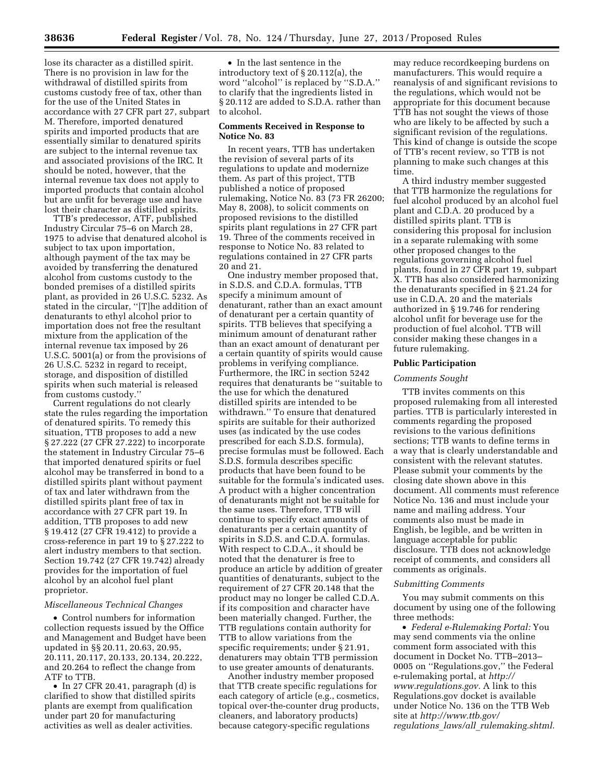lose its character as a distilled spirit. There is no provision in law for the withdrawal of distilled spirits from customs custody free of tax, other than for the use of the United States in accordance with 27 CFR part 27, subpart M. Therefore, imported denatured spirits and imported products that are essentially similar to denatured spirits are subject to the internal revenue tax and associated provisions of the IRC. It should be noted, however, that the internal revenue tax does not apply to imported products that contain alcohol but are unfit for beverage use and have lost their character as distilled spirits.

TTB's predecessor, ATF, published Industry Circular 75–6 on March 28, 1975 to advise that denatured alcohol is subject to tax upon importation, although payment of the tax may be avoided by transferring the denatured alcohol from customs custody to the bonded premises of a distilled spirits plant, as provided in 26 U.S.C. 5232. As stated in the circular, ''[T]he addition of denaturants to ethyl alcohol prior to importation does not free the resultant mixture from the application of the internal revenue tax imposed by 26 U.S.C. 5001(a) or from the provisions of 26 U.S.C. 5232 in regard to receipt, storage, and disposition of distilled spirits when such material is released from customs custody.''

Current regulations do not clearly state the rules regarding the importation of denatured spirits. To remedy this situation, TTB proposes to add a new § 27.222 (27 CFR 27.222) to incorporate the statement in Industry Circular 75–6 that imported denatured spirits or fuel alcohol may be transferred in bond to a distilled spirits plant without payment of tax and later withdrawn from the distilled spirits plant free of tax in accordance with 27 CFR part 19. In addition, TTB proposes to add new § 19.412 (27 CFR 19.412) to provide a cross-reference in part 19 to § 27.222 to alert industry members to that section. Section 19.742 (27 CFR 19.742) already provides for the importation of fuel alcohol by an alcohol fuel plant proprietor.

#### *Miscellaneous Technical Changes*

• Control numbers for information collection requests issued by the Office and Management and Budget have been updated in §§ 20.11, 20.63, 20.95, 20.111, 20.117, 20.133, 20.134, 20.222, and 20.264 to reflect the change from ATF to TTB.

• In 27 CFR 20.41, paragraph (d) is clarified to show that distilled spirits plants are exempt from qualification under part 20 for manufacturing activities as well as dealer activities.

• In the last sentence in the introductory text of § 20.112(a), the word ''alcohol'' is replaced by ''S.D.A.'' to clarify that the ingredients listed in § 20.112 are added to S.D.A. rather than to alcohol.

### **Comments Received in Response to Notice No. 83**

In recent years, TTB has undertaken the revision of several parts of its regulations to update and modernize them. As part of this project, TTB published a notice of proposed rulemaking, Notice No. 83 (73 FR 26200; May 8, 2008), to solicit comments on proposed revisions to the distilled spirits plant regulations in 27 CFR part 19. Three of the comments received in response to Notice No. 83 related to regulations contained in 27 CFR parts 20 and 21.

One industry member proposed that, in S.D.S. and C.D.A. formulas, TTB specify a minimum amount of denaturant, rather than an exact amount of denaturant per a certain quantity of spirits. TTB believes that specifying a minimum amount of denaturant rather than an exact amount of denaturant per a certain quantity of spirits would cause problems in verifying compliance. Furthermore, the IRC in section 5242 requires that denaturants be ''suitable to the use for which the denatured distilled spirits are intended to be withdrawn.'' To ensure that denatured spirits are suitable for their authorized uses (as indicated by the use codes prescribed for each S.D.S. formula), precise formulas must be followed. Each S.D.S. formula describes specific products that have been found to be suitable for the formula's indicated uses. A product with a higher concentration of denaturants might not be suitable for the same uses. Therefore, TTB will continue to specify exact amounts of denaturants per a certain quantity of spirits in S.D.S. and C.D.A. formulas. With respect to C.D.A., it should be noted that the denaturer is free to produce an article by addition of greater quantities of denaturants, subject to the requirement of 27 CFR 20.148 that the product may no longer be called C.D.A. if its composition and character have been materially changed. Further, the TTB regulations contain authority for TTB to allow variations from the specific requirements; under § 21.91, denaturers may obtain TTB permission to use greater amounts of denaturants.

Another industry member proposed that TTB create specific regulations for each category of article (e.g., cosmetics, topical over-the-counter drug products, cleaners, and laboratory products) because category-specific regulations

may reduce recordkeeping burdens on manufacturers. This would require a reanalysis of and significant revisions to the regulations, which would not be appropriate for this document because TTB has not sought the views of those who are likely to be affected by such a significant revision of the regulations. This kind of change is outside the scope of TTB's recent review, so TTB is not planning to make such changes at this time.

A third industry member suggested that TTB harmonize the regulations for fuel alcohol produced by an alcohol fuel plant and C.D.A. 20 produced by a distilled spirits plant. TTB is considering this proposal for inclusion in a separate rulemaking with some other proposed changes to the regulations governing alcohol fuel plants, found in 27 CFR part 19, subpart X. TTB has also considered harmonizing the denaturants specified in § 21.24 for use in C.D.A. 20 and the materials authorized in § 19.746 for rendering alcohol unfit for beverage use for the production of fuel alcohol. TTB will consider making these changes in a future rulemaking.

### **Public Participation**

### *Comments Sought*

TTB invites comments on this proposed rulemaking from all interested parties. TTB is particularly interested in comments regarding the proposed revisions to the various definitions sections; TTB wants to define terms in a way that is clearly understandable and consistent with the relevant statutes. Please submit your comments by the closing date shown above in this document. All comments must reference Notice No. 136 and must include your name and mailing address. Your comments also must be made in English, be legible, and be written in language acceptable for public disclosure. TTB does not acknowledge receipt of comments, and considers all comments as originals.

#### *Submitting Comments*

You may submit comments on this document by using one of the following three methods:

• *Federal e-Rulemaking Portal:* You may send comments via the online comment form associated with this document in Docket No. TTB–2013– 0005 on ''Regulations.gov,'' the Federal e-rulemaking portal, at *[http://](http://www.regulations.gov)  [www.regulations.gov.](http://www.regulations.gov)* A link to this Regulations.gov docket is available under Notice No. 136 on the TTB Web site at *[http://www.ttb.gov/](http://www.ttb.gov/regulations_laws/all_rulemaking.shtml)  regulations*\_*laws/all*\_*[rulemaking.shtml.](http://www.ttb.gov/regulations_laws/all_rulemaking.shtml)*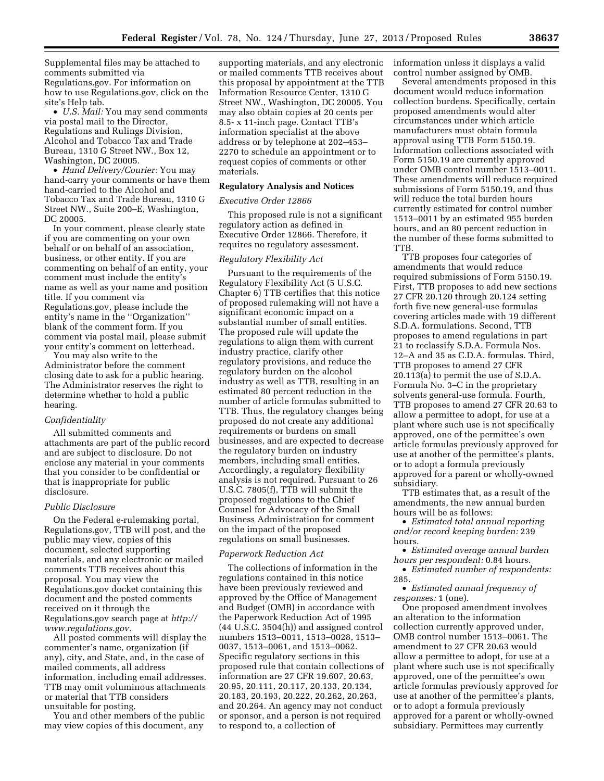Supplemental files may be attached to comments submitted via Regulations.gov. For information on how to use Regulations.gov, click on the site's Help tab.

• *U.S. Mail:* You may send comments via postal mail to the Director, Regulations and Rulings Division, Alcohol and Tobacco Tax and Trade Bureau, 1310 G Street NW., Box 12, Washington, DC 20005.

• *Hand Delivery/Courier:* You may hand-carry your comments or have them hand-carried to the Alcohol and Tobacco Tax and Trade Bureau, 1310 G Street NW., Suite 200–E, Washington, DC 20005.

In your comment, please clearly state if you are commenting on your own behalf or on behalf of an association, business, or other entity. If you are commenting on behalf of an entity, your comment must include the entity's name as well as your name and position title. If you comment via Regulations.gov, please include the entity's name in the ''Organization'' blank of the comment form. If you comment via postal mail, please submit your entity's comment on letterhead.

You may also write to the Administrator before the comment closing date to ask for a public hearing. The Administrator reserves the right to determine whether to hold a public hearing.

#### *Confidentiality*

All submitted comments and attachments are part of the public record and are subject to disclosure. Do not enclose any material in your comments that you consider to be confidential or that is inappropriate for public disclosure.

#### *Public Disclosure*

On the Federal e-rulemaking portal, Regulations.gov, TTB will post, and the public may view, copies of this document, selected supporting materials, and any electronic or mailed comments TTB receives about this proposal. You may view the Regulations.gov docket containing this document and the posted comments received on it through the Regulations.gov search page at *[http://](http://www.regulations.gov)  [www.regulations.gov.](http://www.regulations.gov)* 

All posted comments will display the commenter's name, organization (if any), city, and State, and, in the case of mailed comments, all address information, including email addresses. TTB may omit voluminous attachments or material that TTB considers unsuitable for posting.

You and other members of the public may view copies of this document, any

supporting materials, and any electronic or mailed comments TTB receives about this proposal by appointment at the TTB Information Resource Center, 1310 G Street NW., Washington, DC 20005. You may also obtain copies at 20 cents per 8.5- x 11-inch page. Contact TTB's information specialist at the above address or by telephone at 202–453– 2270 to schedule an appointment or to request copies of comments or other materials.

#### **Regulatory Analysis and Notices**

## *Executive Order 12866*

This proposed rule is not a significant regulatory action as defined in Executive Order 12866. Therefore, it requires no regulatory assessment.

### *Regulatory Flexibility Act*

Pursuant to the requirements of the Regulatory Flexibility Act (5 U.S.C. Chapter 6) TTB certifies that this notice of proposed rulemaking will not have a significant economic impact on a substantial number of small entities. The proposed rule will update the regulations to align them with current industry practice, clarify other regulatory provisions, and reduce the regulatory burden on the alcohol industry as well as TTB, resulting in an estimated 80 percent reduction in the number of article formulas submitted to TTB. Thus, the regulatory changes being proposed do not create any additional requirements or burdens on small businesses, and are expected to decrease the regulatory burden on industry members, including small entities. Accordingly, a regulatory flexibility analysis is not required. Pursuant to 26 U.S.C. 7805(f), TTB will submit the proposed regulations to the Chief Counsel for Advocacy of the Small Business Administration for comment on the impact of the proposed regulations on small businesses.

## *Paperwork Reduction Act*

The collections of information in the regulations contained in this notice have been previously reviewed and approved by the Office of Management and Budget (OMB) in accordance with the Paperwork Reduction Act of 1995 (44 U.S.C. 3504(h)) and assigned control numbers 1513–0011, 1513–0028, 1513– 0037, 1513–0061, and 1513–0062. Specific regulatory sections in this proposed rule that contain collections of information are 27 CFR 19.607, 20.63, 20.95, 20.111, 20.117, 20.133, 20.134, 20.183, 20.193, 20.222, 20.262, 20.263, and 20.264. An agency may not conduct or sponsor, and a person is not required to respond to, a collection of

information unless it displays a valid control number assigned by OMB.

Several amendments proposed in this document would reduce information collection burdens. Specifically, certain proposed amendments would alter circumstances under which article manufacturers must obtain formula approval using TTB Form 5150.19. Information collections associated with Form 5150.19 are currently approved under OMB control number 1513–0011. These amendments will reduce required submissions of Form 5150.19, and thus will reduce the total burden hours currently estimated for control number 1513–0011 by an estimated 955 burden hours, and an 80 percent reduction in the number of these forms submitted to **TTB** 

TTB proposes four categories of amendments that would reduce required submissions of Form 5150.19. First, TTB proposes to add new sections 27 CFR 20.120 through 20.124 setting forth five new general-use formulas covering articles made with 19 different S.D.A. formulations. Second, TTB proposes to amend regulations in part 21 to reclassify S.D.A. Formula Nos. 12–A and 35 as C.D.A. formulas. Third, TTB proposes to amend 27 CFR 20.113(a) to permit the use of S.D.A. Formula No. 3–C in the proprietary solvents general-use formula. Fourth, TTB proposes to amend 27 CFR 20.63 to allow a permittee to adopt, for use at a plant where such use is not specifically approved, one of the permittee's own article formulas previously approved for use at another of the permittee's plants, or to adopt a formula previously approved for a parent or wholly-owned subsidiary.

TTB estimates that, as a result of the amendments, the new annual burden hours will be as follows:

• *Estimated total annual reporting and/or record keeping burden:* 239 hours.

• *Estimated average annual burden hours per respondent:* 0.84 hours.

• *Estimated number of respondents:*  285.

• *Estimated annual frequency of responses:* 1 (one).

One proposed amendment involves an alteration to the information collection currently approved under, OMB control number 1513–0061. The amendment to 27 CFR 20.63 would allow a permittee to adopt, for use at a plant where such use is not specifically approved, one of the permittee's own article formulas previously approved for use at another of the permittee's plants, or to adopt a formula previously approved for a parent or wholly-owned subsidiary. Permittees may currently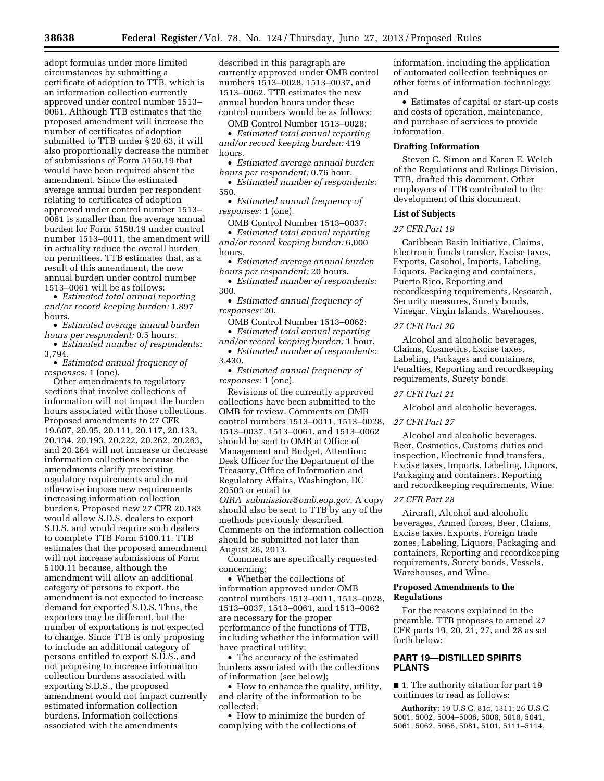adopt formulas under more limited circumstances by submitting a certificate of adoption to TTB, which is an information collection currently approved under control number 1513– 0061. Although TTB estimates that the proposed amendment will increase the number of certificates of adoption submitted to TTB under § 20.63, it will also proportionally decrease the number of submissions of Form 5150.19 that would have been required absent the amendment. Since the estimated average annual burden per respondent relating to certificates of adoption approved under control number 1513– 0061 is smaller than the average annual burden for Form 5150.19 under control number 1513–0011, the amendment will in actuality reduce the overall burden on permittees. TTB estimates that, as a result of this amendment, the new annual burden under control number 1513–0061 will be as follows:

• *Estimated total annual reporting and/or record keeping burden:* 1,897 hours.

• *Estimated average annual burden hours per respondent:* 0.5 hours.

• *Estimated number of respondents:*  3,794.

• *Estimated annual frequency of responses:* 1 (one).

Other amendments to regulatory sections that involve collections of information will not impact the burden hours associated with those collections. Proposed amendments to 27 CFR 19.607, 20.95, 20.111, 20.117, 20.133, 20.134, 20.193, 20.222, 20.262, 20.263, and 20.264 will not increase or decrease information collections because the amendments clarify preexisting regulatory requirements and do not otherwise impose new requirements increasing information collection burdens. Proposed new 27 CFR 20.183 would allow S.D.S. dealers to export S.D.S. and would require such dealers to complete TTB Form 5100.11. TTB estimates that the proposed amendment will not increase submissions of Form 5100.11 because, although the amendment will allow an additional category of persons to export, the amendment is not expected to increase demand for exported S.D.S. Thus, the exporters may be different, but the number of exportations is not expected to change. Since TTB is only proposing to include an additional category of persons entitled to export S.D.S., and not proposing to increase information collection burdens associated with exporting S.D.S., the proposed amendment would not impact currently estimated information collection burdens. Information collections associated with the amendments

described in this paragraph are currently approved under OMB control numbers 1513–0028, 1513–0037, and 1513–0062. TTB estimates the new annual burden hours under these control numbers would be as follows:

OMB Control Number 1513–0028:

• *Estimated total annual reporting and/or record keeping burden:* 419 hours.

• *Estimated average annual burden hours per respondent:* 0.76 hour.

• *Estimated number of respondents:*  550.

• *Estimated annual frequency of responses:* 1 (one).

OMB Control Number 1513–0037: • *Estimated total annual reporting and/or record keeping burden:* 6,000 hours.

• *Estimated average annual burden hours per respondent:* 20 hours.

• *Estimated number of respondents:*  300.

• *Estimated annual frequency of responses:* 20.

OMB Control Number 1513–0062: • *Estimated total annual reporting* 

*and/or record keeping burden:* 1 hour. • *Estimated number of respondents:*  3,430.

• *Estimated annual frequency of responses:* 1 (one).

Revisions of the currently approved collections have been submitted to the OMB for review. Comments on OMB control numbers 1513–0011, 1513–0028, 1513–0037, 1513–0061, and 1513–0062 should be sent to OMB at Office of Management and Budget, Attention: Desk Officer for the Department of the Treasury, Office of Information and Regulatory Affairs, Washington, DC 20503 or email to

*OIRA*\_*[submission@omb.eop.gov.](mailto:OIRA_submission@omb.eop.gov)* A copy should also be sent to TTB by any of the methods previously described. Comments on the information collection should be submitted not later than August 26, 2013.

Comments are specifically requested concerning:

• Whether the collections of information approved under OMB control numbers 1513–0011, 1513–0028, 1513–0037, 1513–0061, and 1513–0062 are necessary for the proper performance of the functions of TTB, including whether the information will have practical utility;

• The accuracy of the estimated burdens associated with the collections of information (see below);

• How to enhance the quality, utility, and clarity of the information to be collected;

• How to minimize the burden of complying with the collections of

information, including the application of automated collection techniques or other forms of information technology; and

• Estimates of capital or start-up costs and costs of operation, maintenance, and purchase of services to provide information.

#### **Drafting Information**

Steven C. Simon and Karen E. Welch of the Regulations and Rulings Division, TTB, drafted this document. Other employees of TTB contributed to the development of this document.

### **List of Subjects**

# *27 CFR Part 19*

Caribbean Basin Initiative, Claims, Electronic funds transfer, Excise taxes, Exports, Gasohol, Imports, Labeling, Liquors, Packaging and containers, Puerto Rico, Reporting and recordkeeping requirements, Research, Security measures, Surety bonds, Vinegar, Virgin Islands, Warehouses.

# *27 CFR Part 20*

Alcohol and alcoholic beverages, Claims, Cosmetics, Excise taxes, Labeling, Packages and containers, Penalties, Reporting and recordkeeping requirements, Surety bonds.

## *27 CFR Part 21*

Alcohol and alcoholic beverages.

### *27 CFR Part 27*

Alcohol and alcoholic beverages, Beer, Cosmetics, Customs duties and inspection, Electronic fund transfers, Excise taxes, Imports, Labeling, Liquors, Packaging and containers, Reporting and recordkeeping requirements, Wine.

#### *27 CFR Part 28*

Aircraft, Alcohol and alcoholic beverages, Armed forces, Beer, Claims, Excise taxes, Exports, Foreign trade zones, Labeling, Liquors, Packaging and containers, Reporting and recordkeeping requirements, Surety bonds, Vessels, Warehouses, and Wine.

### **Proposed Amendments to the Regulations**

For the reasons explained in the preamble, TTB proposes to amend 27 CFR parts 19, 20, 21, 27, and 28 as set forth below:

## **PART 19—DISTILLED SPIRITS PLANTS**

■ 1. The authority citation for part 19 continues to read as follows:

**Authority:** 19 U.S.C. 81c, 1311; 26 U.S.C. 5001, 5002, 5004–5006, 5008, 5010, 5041, 5061, 5062, 5066, 5081, 5101, 5111–5114,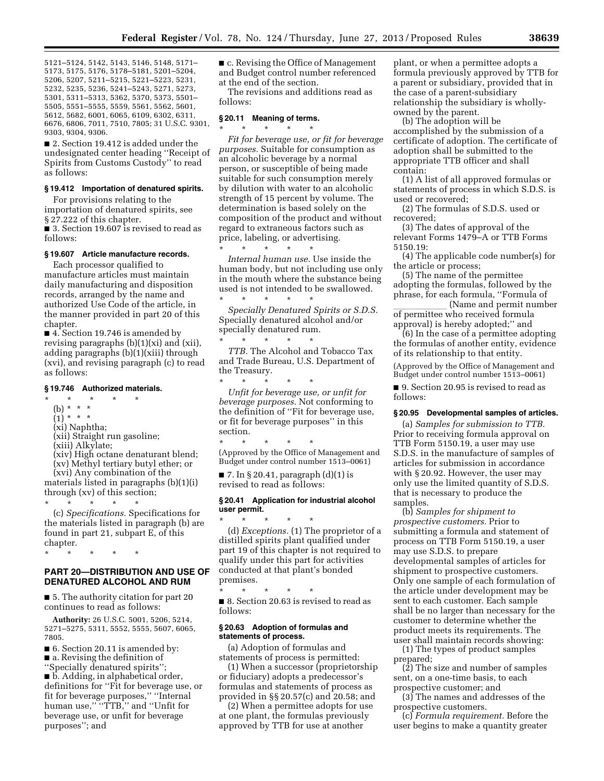5121–5124, 5142, 5143, 5146, 5148, 5171– 5173, 5175, 5176, 5178–5181, 5201–5204, 5206, 5207, 5211–5215, 5221–5223, 5231, 5232, 5235, 5236, 5241–5243, 5271, 5273, 5301, 5311–5313, 5362, 5370, 5373, 5501– 5505, 5551–5555, 5559, 5561, 5562, 5601, 5612, 5682, 6001, 6065, 6109, 6302, 6311, 6676, 6806, 7011, 7510, 7805; 31 U.S.C. 9301, 9303, 9304, 9306.

■ 2. Section 19.412 is added under the undesignated center heading ''Receipt of Spirits from Customs Custody'' to read as follows:

#### **§ 19.412 Importation of denatured spirits.**

For provisions relating to the importation of denatured spirits, see § 27.222 of this chapter.

■ 3. Section 19.607 is revised to read as follows:

## **§ 19.607 Article manufacture records.**

Each processor qualified to manufacture articles must maintain daily manufacturing and disposition records, arranged by the name and authorized Use Code of the article, in the manner provided in part 20 of this chapter.

■ 4. Section 19.746 is amended by revising paragraphs (b)(1)(xi) and (xii), adding paragraphs (b)(1)(xiii) through (xvi), and revising paragraph (c) to read as follows:

#### **§ 19.746 Authorized materials.**

- $\star$   $\star$
- (b) \* \* \*
- $(1)^*$  \* \* \*

(xi) Naphtha;

(xii) Straight run gasoline;

\* \* \* \* \*

- (xiii) Alkylate;
- (xiv) High octane denaturant blend;
- (xv) Methyl tertiary butyl ether; or

(xvi) Any combination of the materials listed in paragraphs (b)(1)(i) through (xv) of this section;

(c) *Specifications.* Specifications for the materials listed in paragraph (b) are found in part 21, subpart E, of this chapter.

\* \* \* \* \*

# **PART 20—DISTRIBUTION AND USE OF DENATURED ALCOHOL AND RUM**

■ 5. The authority citation for part 20 continues to read as follows:

**Authority:** 26 U.S.C. 5001, 5206, 5214, 5271–5275, 5311, 5552, 5555, 5607, 6065, 7805.

■ 6. Section 20.11 is amended by: ■ a. Revising the definition of

''Specially denatured spirits''; ■ b. Adding, in alphabetical order, definitions for ''Fit for beverage use, or fit for beverage purposes,'' ''Internal human use," "TTB," and "Unfit for beverage use, or unfit for beverage purposes''; and

■ c. Revising the Office of Management and Budget control number referenced at the end of the section.

The revisions and additions read as follows:

### **§ 20.11 Meaning of terms.**

\* \* \* \* \*

\* \* \* \* \*

*Fit for beverage use, or fit for beverage purposes.* Suitable for consumption as an alcoholic beverage by a normal person, or susceptible of being made suitable for such consumption merely by dilution with water to an alcoholic strength of 15 percent by volume. The determination is based solely on the composition of the product and without regard to extraneous factors such as price, labeling, or advertising.

*Internal human use.* Use inside the human body, but not including use only in the mouth where the substance being used is not intended to be swallowed. \* \* \* \* \*

*Specially Denatured Spirits or S.D.S.*  Specially denatured alcohol and/or specially denatured rum. \* \* \* \* \*

*TTB.* The Alcohol and Tobacco Tax and Trade Bureau, U.S. Department of the Treasury.<br>\*  $\quad$  \*  $\quad$  \*

\* \* \* \* \* *Unfit for beverage use, or unfit for beverage purposes.* Not conforming to the definition of ''Fit for beverage use, or fit for beverage purposes'' in this section.

\* \* \* \* \* (Approved by the Office of Management and Budget under control number 1513–0061)

 $\blacksquare$  7. In § 20.41, paragraph (d)(1) is revised to read as follows:

#### **§ 20.41 Application for industrial alcohol user permit.**

\* \* \* \* \* (d) *Exceptions.* (1) The proprietor of a distilled spirits plant qualified under part 19 of this chapter is not required to qualify under this part for activities conducted at that plant's bonded premises.

\* \* \* \* \* ■ 8. Section 20.63 is revised to read as follows:

### **§ 20.63 Adoption of formulas and statements of process.**

(a) Adoption of formulas and statements of process is permitted:

(1) When a successor (proprietorship or fiduciary) adopts a predecessor's formulas and statements of process as provided in §§ 20.57(c) and 20.58; and

(2) When a permittee adopts for use at one plant, the formulas previously approved by TTB for use at another

plant, or when a permittee adopts a formula previously approved by TTB for a parent or subsidiary, provided that in the case of a parent-subsidiary relationship the subsidiary is whollyowned by the parent.

(b) The adoption will be accomplished by the submission of a certificate of adoption. The certificate of adoption shall be submitted to the appropriate TTB officer and shall contain:

(1) A list of all approved formulas or statements of process in which S.D.S. is used or recovered;

(2) The formulas of S.D.S. used or recovered;

(3) The dates of approval of the relevant Forms 1479–A or TTB Forms 5150.19:

(4) The applicable code number(s) for the article or process;

(5) The name of the permittee adopting the formulas, followed by the phrase, for each formula, "Formula of<br>(Name and permit number)

\_\_\_\_\_\_\_\_\_\_\_ (Name and permit number<br>of permittee who received formula approval) is hereby adopted;'' and

(6) In the case of a permittee adopting the formulas of another entity, evidence of its relationship to that entity.

(Approved by the Office of Management and Budget under control number 1513–0061)

■ 9. Section 20.95 is revised to read as follows:

#### **§ 20.95 Developmental samples of articles.**

(a) *Samples for submission to TTB.*  Prior to receiving formula approval on TTB Form 5150.19, a user may use S.D.S. in the manufacture of samples of articles for submission in accordance with § 20.92. However, the user may only use the limited quantity of S.D.S. that is necessary to produce the samples.

(b) *Samples for shipment to prospective customers.* Prior to submitting a formula and statement of process on TTB Form 5150.19, a user may use S.D.S. to prepare developmental samples of articles for shipment to prospective customers. Only one sample of each formulation of the article under development may be sent to each customer. Each sample shall be no larger than necessary for the customer to determine whether the product meets its requirements. The user shall maintain records showing:

(1) The types of product samples prepared;

(2) The size and number of samples sent, on a one-time basis, to each prospective customer; and

(3) The names and addresses of the prospective customers.

(c) *Formula requirement.* Before the user begins to make a quantity greater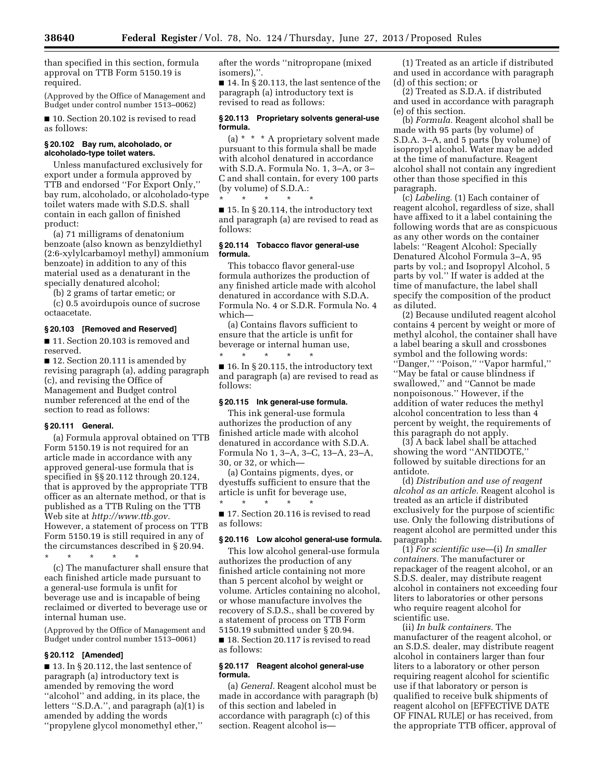than specified in this section, formula approval on TTB Form 5150.19 is required.

(Approved by the Office of Management and Budget under control number 1513–0062)

■ 10. Section 20.102 is revised to read as follows:

## **§ 20.102 Bay rum, alcoholado, or alcoholado-type toilet waters.**

Unless manufactured exclusively for export under a formula approved by TTB and endorsed ''For Export Only,'' bay rum, alcoholado, or alcoholado-type toilet waters made with S.D.S. shall contain in each gallon of finished product:

(a) 71 milligrams of denatonium benzoate (also known as benzyldiethyl (2:6-xylylcarbamoyl methyl) ammonium benzoate) in addition to any of this material used as a denaturant in the specially denatured alcohol;

(b) 2 grams of tartar emetic; or

(c) 0.5 avoirdupois ounce of sucrose octaacetate.

## **§ 20.103 [Removed and Reserved]**

■ 11. Section 20.103 is removed and reserved.

■ 12. Section 20.111 is amended by revising paragraph (a), adding paragraph (c), and revising the Office of Management and Budget control number referenced at the end of the section to read as follows:

## **§ 20.111 General.**

(a) Formula approval obtained on TTB Form 5150.19 is not required for an article made in accordance with any approved general-use formula that is specified in §§ 20.112 through 20.124, that is approved by the appropriate TTB officer as an alternate method, or that is published as a TTB Ruling on the TTB Web site at *[http://www.ttb.gov.](http://www.ttb.gov)*  However, a statement of process on TTB Form 5150.19 is still required in any of the circumstances described in § 20.94.

\* \* \* \* \*

(c) The manufacturer shall ensure that each finished article made pursuant to a general-use formula is unfit for beverage use and is incapable of being reclaimed or diverted to beverage use or internal human use.

(Approved by the Office of Management and Budget under control number 1513–0061)

## **§ 20.112 [Amended]**

■ 13. In § 20.112, the last sentence of paragraph (a) introductory text is amended by removing the word ''alcohol'' and adding, in its place, the letters ''S.D.A.'', and paragraph (a)(1) is amended by adding the words ''propylene glycol monomethyl ether,''

after the words ''nitropropane (mixed isomers),''.

 $\blacksquare$  14. In § 20.113, the last sentence of the paragraph (a) introductory text is revised to read as follows:

## **§ 20.113 Proprietary solvents general-use formula.**

(a) \* \* \* A proprietary solvent made pursuant to this formula shall be made with alcohol denatured in accordance with S.D.A. Formula No. 1, 3–A, or 3– C and shall contain, for every 100 parts (by volume) of S.D.A.:

\* \* \* \* \* ■ 15. In § 20.114, the introductory text and paragraph (a) are revised to read as follows:

### **§ 20.114 Tobacco flavor general-use formula.**

This tobacco flavor general-use formula authorizes the production of any finished article made with alcohol denatured in accordance with S.D.A. Formula No. 4 or S.D.R. Formula No. 4 which—

(a) Contains flavors sufficient to ensure that the article is unfit for beverage or internal human use,

\* \* \* \* \*  $\blacksquare$  16. In § 20.115, the introductory text and paragraph (a) are revised to read as follows:

## **§ 20.115 Ink general-use formula.**

This ink general-use formula authorizes the production of any finished article made with alcohol denatured in accordance with S.D.A. Formula No 1, 3–A, 3–C, 13–A, 23–A, 30, or 32, or which—

(a) Contains pigments, dyes, or dyestuffs sufficient to ensure that the article is unfit for beverage use, \* \* \* \* \*

■ 17. Section 20.116 is revised to read as follows:

## **§ 20.116 Low alcohol general-use formula.**

This low alcohol general-use formula authorizes the production of any finished article containing not more than 5 percent alcohol by weight or volume. Articles containing no alcohol, or whose manufacture involves the recovery of S.D.S., shall be covered by a statement of process on TTB Form 5150.19 submitted under § 20.94. ■ 18. Section 20.117 is revised to read as follows:

## **§ 20.117 Reagent alcohol general-use formula.**

(a) *General.* Reagent alcohol must be made in accordance with paragraph (b) of this section and labeled in accordance with paragraph (c) of this section. Reagent alcohol is—

(1) Treated as an article if distributed and used in accordance with paragraph (d) of this section; or

(2) Treated as S.D.A. if distributed and used in accordance with paragraph (e) of this section.

(b) *Formula.* Reagent alcohol shall be made with 95 parts (by volume) of S.D.A. 3–A, and 5 parts (by volume) of isopropyl alcohol. Water may be added at the time of manufacture. Reagent alcohol shall not contain any ingredient other than those specified in this paragraph.

(c) *Labeling.* (1) Each container of reagent alcohol, regardless of size, shall have affixed to it a label containing the following words that are as conspicuous as any other words on the container labels: ''Reagent Alcohol: Specially Denatured Alcohol Formula 3–A, 95 parts by vol.; and Isopropyl Alcohol, 5 parts by vol.'' If water is added at the time of manufacture, the label shall specify the composition of the product as diluted.

(2) Because undiluted reagent alcohol contains 4 percent by weight or more of methyl alcohol, the container shall have a label bearing a skull and crossbones symbol and the following words: ''Danger,'' ''Poison,'' ''Vapor harmful,'' ''May be fatal or cause blindness if swallowed,'' and ''Cannot be made nonpoisonous.'' However, if the addition of water reduces the methyl alcohol concentration to less than 4 percent by weight, the requirements of this paragraph do not apply.

(3) A back label shall be attached showing the word ''ANTIDOTE,'' followed by suitable directions for an antidote.

(d) *Distribution and use of reagent alcohol as an article.* Reagent alcohol is treated as an article if distributed exclusively for the purpose of scientific use. Only the following distributions of reagent alcohol are permitted under this paragraph:

(1) *For scientific use—*(i) *In smaller containers.* The manufacturer or repackager of the reagent alcohol, or an S.D.S. dealer, may distribute reagent alcohol in containers not exceeding four liters to laboratories or other persons who require reagent alcohol for scientific use.

(ii) *In bulk containers.* The manufacturer of the reagent alcohol, or an S.D.S. dealer, may distribute reagent alcohol in containers larger than four liters to a laboratory or other person requiring reagent alcohol for scientific use if that laboratory or person is qualified to receive bulk shipments of reagent alcohol on [EFFECTIVE DATE OF FINAL RULE] or has received, from the appropriate TTB officer, approval of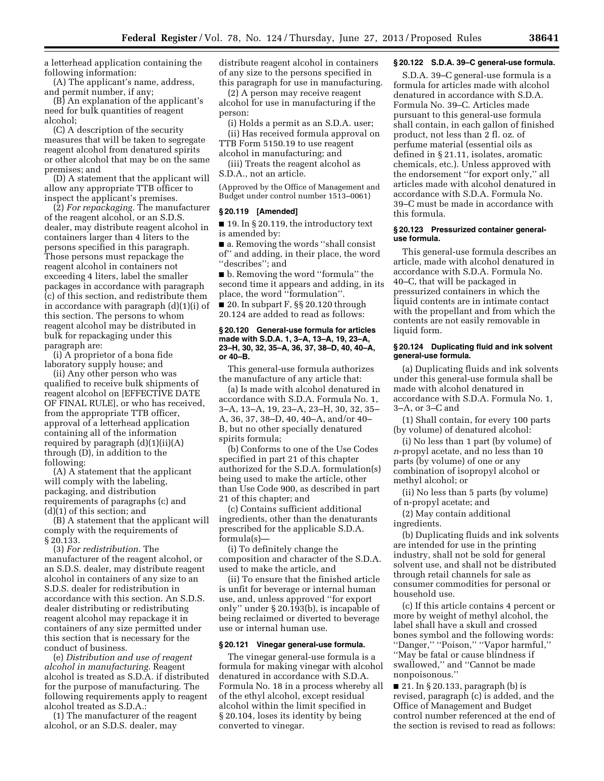a letterhead application containing the following information:

(A) The applicant's name, address, and permit number, if any;

(B) An explanation of the applicant's need for bulk quantities of reagent alcohol;

(C) A description of the security measures that will be taken to segregate reagent alcohol from denatured spirits or other alcohol that may be on the same premises; and

(D) A statement that the applicant will allow any appropriate TTB officer to inspect the applicant's premises.

(2) *For repackaging.* The manufacturer of the reagent alcohol, or an S.D.S. dealer, may distribute reagent alcohol in containers larger than 4 liters to the persons specified in this paragraph. Those persons must repackage the reagent alcohol in containers not exceeding 4 liters, label the smaller packages in accordance with paragraph (c) of this section, and redistribute them in accordance with paragraph (d)(1)(i) of this section. The persons to whom reagent alcohol may be distributed in bulk for repackaging under this paragraph are:

(i) A proprietor of a bona fide laboratory supply house; and

(ii) Any other person who was qualified to receive bulk shipments of reagent alcohol on [EFFECTIVE DATE OF FINAL RULE], or who has received, from the appropriate TTB officer, approval of a letterhead application containing all of the information required by paragraph (d)(1)(ii)(A) through (D), in addition to the following:

(A) A statement that the applicant will comply with the labeling, packaging, and distribution requirements of paragraphs (c) and (d)(1) of this section; and

(B) A statement that the applicant will comply with the requirements of § 20.133.

(3) *For redistribution.* The manufacturer of the reagent alcohol, or an S.D.S. dealer, may distribute reagent alcohol in containers of any size to an S.D.S. dealer for redistribution in accordance with this section. An S.D.S. dealer distributing or redistributing reagent alcohol may repackage it in containers of any size permitted under this section that is necessary for the conduct of business.

(e) *Distribution and use of reagent alcohol in manufacturing.* Reagent alcohol is treated as S.D.A. if distributed for the purpose of manufacturing. The following requirements apply to reagent alcohol treated as S.D.A.:

(1) The manufacturer of the reagent alcohol, or an S.D.S. dealer, may

distribute reagent alcohol in containers of any size to the persons specified in this paragraph for use in manufacturing.

(2) A person may receive reagent alcohol for use in manufacturing if the person:

(i) Holds a permit as an S.D.A. user; (ii) Has received formula approval on TTB Form 5150.19 to use reagent

alcohol in manufacturing; and (iii) Treats the reagent alcohol as

S.D.A., not an article.

(Approved by the Office of Management and Budget under control number 1513–0061)

# **§ 20.119 [Amended]**

■ 19. In § 20.119, the introductory text is amended by:

■ a. Removing the words "shall consist of'' and adding, in their place, the word ''describes''; and

■ b. Removing the word "formula" the second time it appears and adding, in its place, the word ''formulation''.

■ 20. In subpart F, §§ 20.120 through 20.124 are added to read as follows:

### **§ 20.120 General-use formula for articles made with S.D.A. 1, 3–A, 13–A, 19, 23–A, 23–H, 30, 32, 35–A, 36, 37, 38–D, 40, 40–A, or 40–B.**

This general-use formula authorizes the manufacture of any article that:

(a) Is made with alcohol denatured in accordance with S.D.A. Formula No. 1, 3–A, 13–A, 19, 23–A, 23–H, 30, 32, 35– A, 36, 37, 38–D, 40, 40–A, and/or 40– B, but no other specially denatured spirits formula;

(b) Conforms to one of the Use Codes specified in part 21 of this chapter authorized for the S.D.A. formulation(s) being used to make the article, other than Use Code 900, as described in part 21 of this chapter; and

(c) Contains sufficient additional ingredients, other than the denaturants prescribed for the applicable S.D.A. formula(s)—

(i) To definitely change the composition and character of the S.D.A. used to make the article, and

(ii) To ensure that the finished article is unfit for beverage or internal human use, and, unless approved ''for export only'' under § 20.193(b), is incapable of being reclaimed or diverted to beverage use or internal human use.

#### **§ 20.121 Vinegar general-use formula.**

The vinegar general-use formula is a formula for making vinegar with alcohol denatured in accordance with S.D.A. Formula No. 18 in a process whereby all of the ethyl alcohol, except residual alcohol within the limit specified in § 20.104, loses its identity by being converted to vinegar.

# **§ 20.122 S.D.A. 39–C general-use formula.**

S.D.A. 39–C general-use formula is a formula for articles made with alcohol denatured in accordance with S.D.A. Formula No. 39–C. Articles made pursuant to this general-use formula shall contain, in each gallon of finished product, not less than 2 fl. oz. of perfume material (essential oils as defined in § 21.11, isolates, aromatic chemicals, etc.). Unless approved with the endorsement ''for export only,'' all articles made with alcohol denatured in accordance with S.D.A. Formula No. 39–C must be made in accordance with this formula.

### **§ 20.123 Pressurized container generaluse formula.**

This general-use formula describes an article, made with alcohol denatured in accordance with S.D.A. Formula No. 40–C, that will be packaged in pressurized containers in which the liquid contents are in intimate contact with the propellant and from which the contents are not easily removable in liquid form.

## **§ 20.124 Duplicating fluid and ink solvent general-use formula.**

(a) Duplicating fluids and ink solvents under this general-use formula shall be made with alcohol denatured in accordance with S.D.A. Formula No. 1, 3–A, or 3–C and

(1) Shall contain, for every 100 parts (by volume) of denatured alcohol:

(i) No less than 1 part (by volume) of *n*-propyl acetate, and no less than 10 parts (by volume) of one or any combination of isopropyl alcohol or methyl alcohol; or

(ii) No less than 5 parts (by volume) of n-propyl acetate; and

(2) May contain additional ingredients.

(b) Duplicating fluids and ink solvents are intended for use in the printing industry, shall not be sold for general solvent use, and shall not be distributed through retail channels for sale as consumer commodities for personal or household use.

(c) If this article contains 4 percent or more by weight of methyl alcohol, the label shall have a skull and crossed bones symbol and the following words: ''Danger,'' ''Poison,'' ''Vapor harmful,'' ''May be fatal or cause blindness if swallowed,'' and ''Cannot be made nonpoisonous.''

■ 21. In § 20.133, paragraph (b) is revised, paragraph (c) is added, and the Office of Management and Budget control number referenced at the end of the section is revised to read as follows: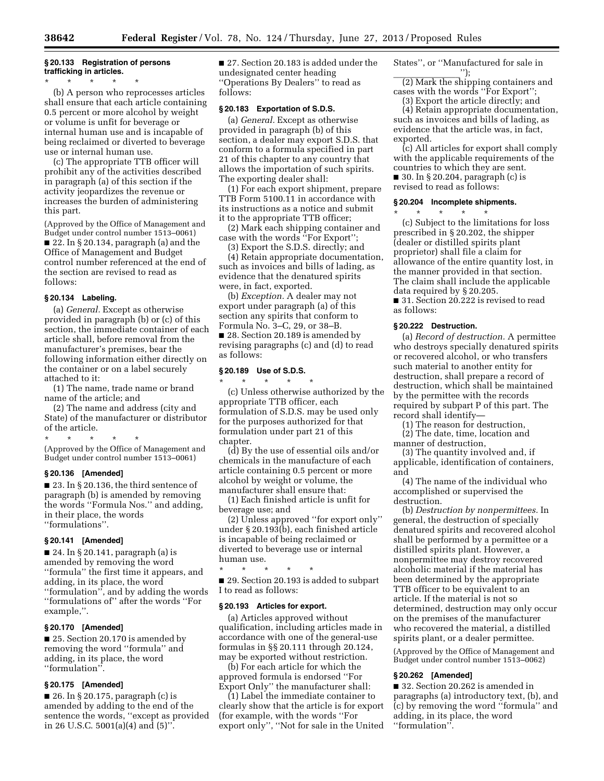# **§ 20.133 Registration of persons trafficking in articles.**

\* \* \* \* \* (b) A person who reprocesses articles shall ensure that each article containing 0.5 percent or more alcohol by weight or volume is unfit for beverage or internal human use and is incapable of being reclaimed or diverted to beverage use or internal human use.

(c) The appropriate TTB officer will prohibit any of the activities described in paragraph (a) of this section if the activity jeopardizes the revenue or increases the burden of administering this part.

(Approved by the Office of Management and Budget under control number 1513–0061) ■ 22. In § 20.134, paragraph (a) and the Office of Management and Budget control number referenced at the end of the section are revised to read as follows:

## **§ 20.134 Labeling.**

(a) *General.* Except as otherwise provided in paragraph (b) or (c) of this section, the immediate container of each article shall, before removal from the manufacturer's premises, bear the following information either directly on the container or on a label securely attached to it:

(1) The name, trade name or brand name of the article; and

(2) The name and address (city and State) of the manufacturer or distributor of the article.

\* \* \* \* \* (Approved by the Office of Management and Budget under control number 1513–0061)

## **§ 20.136 [Amended]**

■ 23. In § 20.136, the third sentence of paragraph (b) is amended by removing the words ''Formula Nos.'' and adding, in their place, the words ''formulations''.

## **§ 20.141 [Amended]**

■ 24. In § 20.141, paragraph (a) is amended by removing the word ''formula'' the first time it appears, and adding, in its place, the word ''formulation'', and by adding the words ''formulations of'' after the words ''For example,''.

# **§ 20.170 [Amended]**

■ 25. Section 20.170 is amended by removing the word ''formula'' and adding, in its place, the word ''formulation''.

## **§ 20.175 [Amended]**

■ 26. In § 20.175, paragraph (c) is amended by adding to the end of the sentence the words, ''except as provided in 26 U.S.C. 5001(a)(4) and (5)''.

■ 27. Section 20.183 is added under the undesignated center heading ''Operations By Dealers'' to read as follows:

## **§ 20.183 Exportation of S.D.S.**

(a) *General.* Except as otherwise provided in paragraph (b) of this section, a dealer may export S.D.S. that conform to a formula specified in part 21 of this chapter to any country that allows the importation of such spirits. The exporting dealer shall:

(1) For each export shipment, prepare TTB Form 5100.11 in accordance with its instructions as a notice and submit it to the appropriate TTB officer;

(2) Mark each shipping container and case with the words ''For Export'';

(3) Export the S.D.S. directly; and

(4) Retain appropriate documentation, such as invoices and bills of lading, as evidence that the denatured spirits were, in fact, exported.

(b) *Exception.* A dealer may not export under paragraph (a) of this section any spirits that conform to Formula No. 3–C, 29, or 38–B. ■ 28. Section 20.189 is amended by revising paragraphs (c) and (d) to read as follows:

### **§ 20.189 Use of S.D.S.**  \* \* \* \* \*

(c) Unless otherwise authorized by the appropriate TTB officer, each formulation of S.D.S. may be used only for the purposes authorized for that formulation under part 21 of this chapter.

(d) By the use of essential oils and/or chemicals in the manufacture of each article containing 0.5 percent or more alcohol by weight or volume, the manufacturer shall ensure that:

(1) Each finished article is unfit for beverage use; and

(2) Unless approved ''for export only'' under § 20.193(b), each finished article is incapable of being reclaimed or diverted to beverage use or internal human use.

\* \* \* \* \*

■ 29. Section 20.193 is added to subpart I to read as follows:

## **§ 20.193 Articles for export.**

(a) Articles approved without qualification, including articles made in accordance with one of the general-use formulas in §§ 20.111 through 20.124, may be exported without restriction.

(b) For each article for which the approved formula is endorsed ''For Export Only'' the manufacturer shall:

(1) Label the immediate container to clearly show that the article is for export (for example, with the words ''For export only'', ''Not for sale in the United States'', or ''Manufactured for sale in  $'$ :

(2) Mark the shipping containers and cases with the words ''For Export'';

(3) Export the article directly; and

(4) Retain appropriate documentation, such as invoices and bills of lading, as evidence that the article was, in fact, exported.

(c) All articles for export shall comply with the applicable requirements of the countries to which they are sent. ■ 30. In § 20.204, paragraph (c) is revised to read as follows:

#### **§ 20.204 Incomplete shipments.**

\* \* \* \* \*

(c) Subject to the limitations for loss prescribed in § 20.202, the shipper (dealer or distilled spirits plant proprietor) shall file a claim for allowance of the entire quantity lost, in the manner provided in that section. The claim shall include the applicable data required by § 20.205. ■ 31. Section 20.222 is revised to read

as follows:

## **§ 20.222 Destruction.**

(a) *Record of destruction.* A permittee who destroys specially denatured spirits or recovered alcohol, or who transfers such material to another entity for destruction, shall prepare a record of destruction, which shall be maintained by the permittee with the records required by subpart P of this part. The record shall identify—

(1) The reason for destruction,

(2) The date, time, location and manner of destruction,

(3) The quantity involved and, if applicable, identification of containers, and

(4) The name of the individual who accomplished or supervised the destruction.

(b) *Destruction by nonpermittees.* In general, the destruction of specially denatured spirits and recovered alcohol shall be performed by a permittee or a distilled spirits plant. However, a nonpermittee may destroy recovered alcoholic material if the material has been determined by the appropriate TTB officer to be equivalent to an article. If the material is not so determined, destruction may only occur on the premises of the manufacturer who recovered the material, a distilled spirits plant, or a dealer permittee.

(Approved by the Office of Management and Budget under control number 1513–0062)

#### **§ 20.262 [Amended]**

■ 32. Section 20.262 is amended in paragraphs (a) introductory text, (b), and (c) by removing the word ''formula'' and adding, in its place, the word ''formulation''.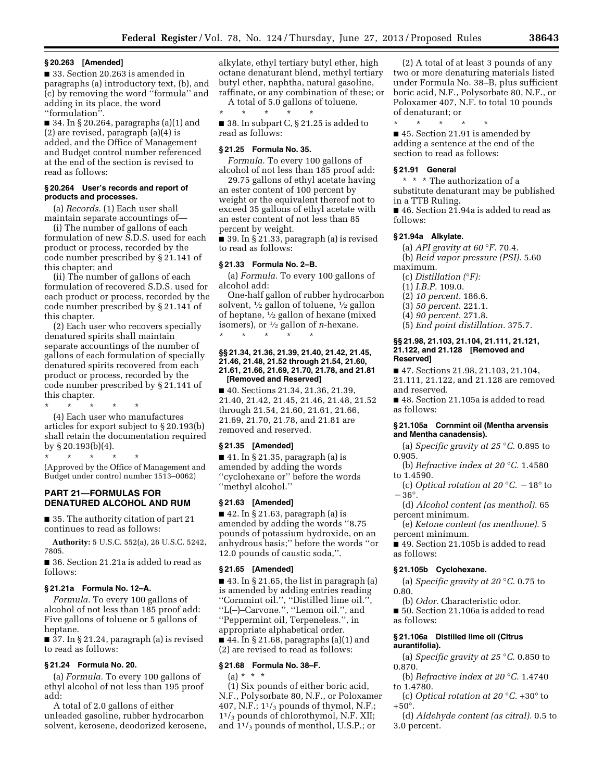#### **§ 20.263 [Amended]**

■ 33. Section 20.263 is amended in paragraphs (a) introductory text, (b), and (c) by removing the word ''formula'' and adding in its place, the word ''formulation''.

■ 34. In § 20.264, paragraphs (a)(1) and (2) are revised, paragraph (a)(4) is added, and the Office of Management and Budget control number referenced at the end of the section is revised to read as follows:

## **§ 20.264 User's records and report of products and processes.**

(a) *Records.* (1) Each user shall maintain separate accountings of—

(i) The number of gallons of each formulation of new S.D.S. used for each product or process, recorded by the code number prescribed by § 21.141 of this chapter; and

(ii) The number of gallons of each formulation of recovered S.D.S. used for each product or process, recorded by the code number prescribed by § 21.141 of this chapter.

(2) Each user who recovers specially denatured spirits shall maintain separate accountings of the number of gallons of each formulation of specially denatured spirits recovered from each product or process, recorded by the code number prescribed by § 21.141 of this chapter.

\* \* \* \* \* (4) Each user who manufactures articles for export subject to § 20.193(b) shall retain the documentation required by § 20.193(b)(4).

\* \* \* \* \* (Approved by the Office of Management and Budget under control number 1513–0062)

## **PART 21—FORMULAS FOR DENATURED ALCOHOL AND RUM**

■ 35. The authority citation of part 21 continues to read as follows:

**Authority:** 5 U.S.C. 552(a), 26 U.S.C. 5242, 7805.

■ 36. Section 21.21a is added to read as follows:

### **§ 21.21a Formula No. 12–A.**

*Formula.* To every 100 gallons of alcohol of not less than 185 proof add: Five gallons of toluene or 5 gallons of heptane.

■ 37. In § 21.24, paragraph (a) is revised to read as follows:

## **§ 21.24 Formula No. 20.**

(a) *Formula.* To every 100 gallons of ethyl alcohol of not less than 195 proof add:

A total of 2.0 gallons of either unleaded gasoline, rubber hydrocarbon solvent, kerosene, deodorized kerosene,

alkylate, ethyl tertiary butyl ether, high octane denaturant blend, methyl tertiary butyl ether, naphtha, natural gasoline, raffinate, or any combination of these; or

A total of 5.0 gallons of toluene. \* \* \* \* \*

■ 38. In subpart C, § 21.25 is added to read as follows:

### **§ 21.25 Formula No. 35.**

*Formula.* To every 100 gallons of alcohol of not less than 185 proof add:

29.75 gallons of ethyl acetate having an ester content of 100 percent by weight or the equivalent thereof not to exceed 35 gallons of ethyl acetate with an ester content of not less than 85 percent by weight.

■ 39. In § 21.33, paragraph (a) is revised to read as follows:

## **§ 21.33 Formula No. 2–B.**

(a) *Formula.* To every 100 gallons of alcohol add:

One-half gallon of rubber hydrocarbon solvent, 1⁄2 gallon of toluene, 1⁄2 gallon of heptane, 1⁄2 gallon of hexane (mixed isomers), or 1⁄2 gallon of *n*-hexane. \* \* \* \* \*

### **§§ 21.34, 21.36, 21.39, 21.40, 21.42, 21.45, 21.46, 21.48, 21.52 through 21.54, 21.60, 21.61, 21.66, 21.69, 21.70, 21.78, and 21.81 [Removed and Reserved]**

■ 40. Sections 21.34, 21.36, 21.39, 21.40, 21.42, 21.45, 21.46, 21.48, 21.52 through 21.54, 21.60, 21.61, 21.66, 21.69, 21.70, 21.78, and 21.81 are removed and reserved.

## **§ 21.35 [Amended]**

■ 41. In § 21.35, paragraph (a) is amended by adding the words ''cyclohexane or'' before the words ''methyl alcohol.''

# **§ 21.63 [Amended]**

 $\blacksquare$  42. In § 21.63, paragraph (a) is amended by adding the words ''8.75 pounds of potassium hydroxide, on an anhydrous basis;'' before the words ''or 12.0 pounds of caustic soda,''.

### **§ 21.65 [Amended]**

 $\blacksquare$  43. In § 21.65, the list in paragraph (a) is amended by adding entries reading ''Cornmint oil.'', ''Distilled lime oil.'', ''L(–)–Carvone.'', ''Lemon oil.'', and ''Peppermint oil, Terpeneless.'', in appropriate alphabetical order.  $\blacksquare$  44. In § 21.68, paragraphs (a)(1) and (2) are revised to read as follows:

## **§ 21.68 Formula No. 38–F.**

 $(a) * * * *$ 

(1) Six pounds of either boric acid, N.F., Polysorbate 80, N.F., or Poloxamer 407, N.F.;  $1^{1/3}$  pounds of thymol, N.F.; 11/<sup>3</sup> pounds of chlorothymol, N.F. XII; and  $1^{1/3}$  pounds of menthol, U.S.P.; or

(2) A total of at least 3 pounds of any two or more denaturing materials listed under Formula No. 38–B, plus sufficient boric acid, N.F., Polysorbate 80, N.F., or Poloxamer 407, N.F. to total 10 pounds of denaturant; or

\* \* \* \* \*

■ 45. Section 21.91 is amended by adding a sentence at the end of the section to read as follows:

#### **§ 21.91 General**

\* \* \* The authorization of a substitute denaturant may be published in a TTB Ruling.

■ 46. Section 21.94a is added to read as follows:

#### **§ 21.94a Alkylate.**

(a) *API gravity at 60* °*F.* 70.4.

(b) *Reid vapor pressure (PSI).* 5.60 maximum.

(c) *Distillation (*°*F):* 

(1) *I.B.P.* 109.0.

(2) *10 percent.* 186.6.

(3) *50 percent.* 221.1.

(4) *90 percent.* 271.8.

(5) *End point distillation.* 375.7.

#### **§§ 21.98, 21.103, 21.104, 21.111, 21.121, 21.122, and 21.128 [Removed and Reserved]**

■ 47. Sections 21.98, 21.103, 21.104, 21.111, 21.122, and 21.128 are removed and reserved.

■ 48. Section 21.105a is added to read as follows:

## **§ 21.105a Cornmint oil (Mentha arvensis and Mentha canadensis).**

(a) *Specific gravity at 25* °*C.* 0.895 to 0.905.

(b) *Refractive index at 20* °*C.* 1.4580 to 1.4590.

(c) *Optical rotation at 20*  $\degree$ *C.*  $-18\degree$  to  $-36^\circ$ .

(d) *Alcohol content (as menthol).* 65 percent minimum.

(e) *Ketone content (as menthone).* 5 percent minimum.

■ 49. Section 21.105b is added to read as follows:

# **§ 21.105b Cyclohexane.**

(a) *Specific gravity at 20* °*C.* 0.75 to 0.80.

(b) *Odor.* Characteristic odor.

■ 50. Section 21.106a is added to read as follows:

### **§ 21.106a Distilled lime oil (Citrus aurantifolia).**

(a) *Specific gravity at 25* °*C.* 0.850 to 0.870.

(b) *Refractive index at 20* °*C.* 1.4740 to 1.4780.

(c) *Optical rotation at 20* °*C.* +30° to +50°.

(d) *Aldehyde content (as citral).* 0.5 to 3.0 percent.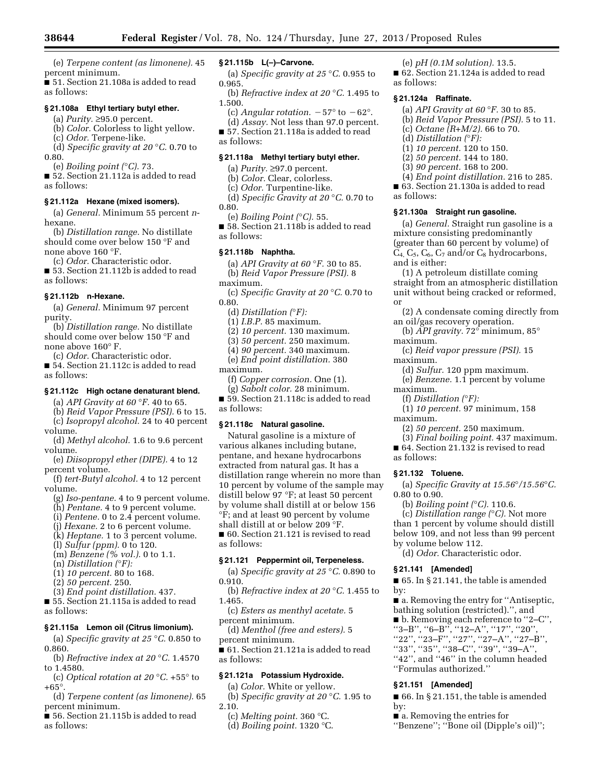(e) *Terpene content (as limonene).* 45 percent minimum.

■ 51. Section 21.108a is added to read as follows:

## **§ 21.108a Ethyl tertiary butyl ether.**

(a) *Purity.* ≥95.0 percent.

(b) *Color.* Colorless to light yellow.

(c) *Odor.* Terpene-like. (d) *Specific gravity at 20* °*C.* 0.70 to 0.80.

(e) *Boiling point (*°*C).* 73.

■ 52. Section 21.112a is added to read as follows:

#### **§ 21.112a Hexane (mixed isomers).**

(a) *General.* Minimum 55 percent *n*hexane.

(b) *Distillation range.* No distillate should come over below 150 °F and none above 160 °F.

(c) *Odor.* Characteristic odor.

■ 53. Section 21.112b is added to read as follows:

## **§ 21.112b n-Hexane.**

(a) *General.* Minimum 97 percent purity.

(b) *Distillation range.* No distillate should come over below 150 °F and none above 160° F.

(c) *Odor.* Characteristic odor.

■ 54. Section 21.112c is added to read as follows:

#### **§ 21.112c High octane denaturant blend.**

(a) *API Gravity at 60* °*F.* 40 to 65. (b) *Reid Vapor Pressure (PSI).* 6 to 15.

(c) *Isopropyl alcohol.* 24 to 40 percent volume.

(d) *Methyl alcohol.* 1.6 to 9.6 percent volume.

(e) *Diisopropyl ether (DIPE).* 4 to 12 percent volume.

(f) *tert-Butyl alcohol.* 4 to 12 percent volume.

(g) *Iso-pentane.* 4 to 9 percent volume.

(h) *Pentane.* 4 to 9 percent volume.

(i) *Pentene.* 0 to 2.4 percent volume.

(j) *Hexane.* 2 to 6 percent volume.

(k) *Heptane.* 1 to 3 percent volume.

(l) *Sulfur (ppm).* 0 to 120.

(m) *Benzene (% vol.).* 0 to 1.1.

(n) *Distillation (*°*F):* 

(1) *10 percent.* 80 to 168.

(2) *50 percent.* 250.

(3) *End point distillation.* 437. ■ 55. Section 21.115a is added to read

as follows:

## **§ 21.115a Lemon oil (Citrus limonium).**

(a) *Specific gravity at 25* °*C.* 0.850 to 0.860.

(b) *Refractive index at 20* °*C.* 1.4570 to 1.4580.

(c) *Optical rotation at 20* °*C.* +55° to  $+65^\circ$ .

(d) *Terpene content (as limonene).* 65 percent minimum.

■ 56. Section 21.115b is added to read as follows:

## **§ 21.115b L(–)–Carvone.**

(a) *Specific gravity at 25* °*C.* 0.955 to 0.965.

(b) *Refractive index at 20* °*C.* 1.495 to 1.500.

- (c) *Angular rotation.*  $-57^{\circ}$  to  $-62^{\circ}$ . (d) *Assay.* Not less than 97.0 percent.
- 57. Section 21.118a is added to read

as follows:

## **§ 21.118a Methyl tertiary butyl ether.**

(a) *Purity.* ≥97.0 percent.

(b) *Color.* Clear, colorless.

(c) *Odor.* Turpentine-like.

(d) *Specific Gravity at 20* °*C.* 0.70 to 0.80.

(e) *Boiling Point (*°*C).* 55.

■ 58. Section 21.118b is added to read as follows:

#### **§ 21.118b Naphtha.**

(a) *API Gravity at 60* °*F.* 30 to 85. (b) *Reid Vapor Pressure (PSI).* 8

maximum.

(c) *Specific Gravity at 20* °*C.* 0.70 to 0.80.

(d) *Distillation (*°*F):* 

(1) *I.B.P.* 85 maximum.

(2) *10 percent.* 130 maximum.

(3) *50 percent.* 250 maximum.

(4) *90 percent.* 340 maximum. (e) *End point distillation.* 380

maximum.

(f) *Copper corrosion.* One (1).

(g) *Sabolt color.* 28 minimum.

■ 59. Section 21.118c is added to read as follows:

## **§ 21.118c Natural gasoline.**

Natural gasoline is a mixture of various alkanes including butane, pentane, and hexane hydrocarbons extracted from natural gas. It has a distillation range wherein no more than 10 percent by volume of the sample may distill below 97 °F; at least 50 percent by volume shall distill at or below 156 °F; and at least 90 percent by volume shall distill at or below 209 °F.

■ 60. Section 21.121 is revised to read as follows:

## **§ 21.121 Peppermint oil, Terpeneless.**

(a) *Specific gravity at 25* °*C.* 0.890 to 0.910.

(b) *Refractive index at 20* °*C.* 1.455 to 1.465.

(c) *Esters as menthyl acetate.* 5 percent minimum.

(d) *Menthol (free and esters).* 5 percent minimum.

■ 61. Section 21.121a is added to read as follows:

#### **§ 21.121a Potassium Hydroxide.**

(a) *Color.* White or yellow.

(b) *Specific gravity at 20* °*C.* 1.95 to 2.10.

(c) *Melting point.* 360 °C.

(d) *Boiling point.* 1320 °C.

(e) *pH (0.1M solution).* 13.5.

■ 62. Section 21.124a is added to read as follows:

#### **§ 21.124a Raffinate.**

- (a) *API Gravity at 60* °*F.* 30 to 85.
- (b) *Reid Vapor Pressure (PSI).* 5 to 11.
- (c) *Octane (R+M/2).* 66 to 70.
- (d) *Distillation (*°*F):*
- (1) *10 percent.* 120 to 150.
- (2) *50 percent.* 144 to 180.
- (3) *90 percent.* 168 to 200.

(4) *End point distillation.* 216 to 285. ■ 63. Section 21.130a is added to read

as follows:

maximum.

maximum.

maximum.

maximum.

as follows:

0.80 to 0.90.

**§ 21.132 Toluene.** 

by volume below 112.

**§ 21.141 [Amended]** 

''Formulas authorized.'' **§ 21.151 [Amended]** 

■ a. Removing the entries for

by:

by:

(f) *Distillation (*°*F):* 

### **§ 21.130a Straight run gasoline.**

(a) *General.* Straight run gasoline is a mixture consisting predominantly (greater than 60 percent by volume) of  $C_4$ ,  $C_5$ ,  $C_6$ ,  $C_7$  and/or  $C_8$  hydrocarbons, and is either:

(1) A petroleum distillate coming straight from an atmospheric distillation unit without being cracked or reformed, or

(2) A condensate coming directly from an oil/gas recovery operation. (b) *API gravity.* 72° minimum, 85°

(c) *Reid vapor pressure (PSI).* 15

(d) *Sulfur.* 120 ppm maximum. (e) *Benzene.* 1.1 percent by volume

(1) *10 percent.* 97 minimum, 158

(a) *Specific Gravity at 15.56*°*/15.56*°*C.* 

(2) *50 percent.* 250 maximum. (3) *Final boiling point.* 437 maximum. ■ 64. Section 21.132 is revised to read

(b) *Boiling point (*°*C).* 110.6. (c) *Distillation range (*°*C).* Not more than 1 percent by volume should distill below 109, and not less than 99 percent

(d) *Odor.* Characteristic odor.

 $\blacksquare$  65. In § 21.141, the table is amended

■ a. Removing the entry for "Antiseptic, bathing solution (restricted).'', and ■ b. Removing each reference to ''2–C'', ''3–B'', ''6–B'', ''12–A'', ''17'', ''20'', ''22'', ''23–F'', ''27'', ''27–A'', ''27–B'', ''33'', ''35'', ''38–C'', ''39'', ''39–A'', "42", and "46" in the column headed

 $\blacksquare$  66. In § 21.151, the table is amended

''Benzene''; ''Bone oil (Dipple's oil)'';